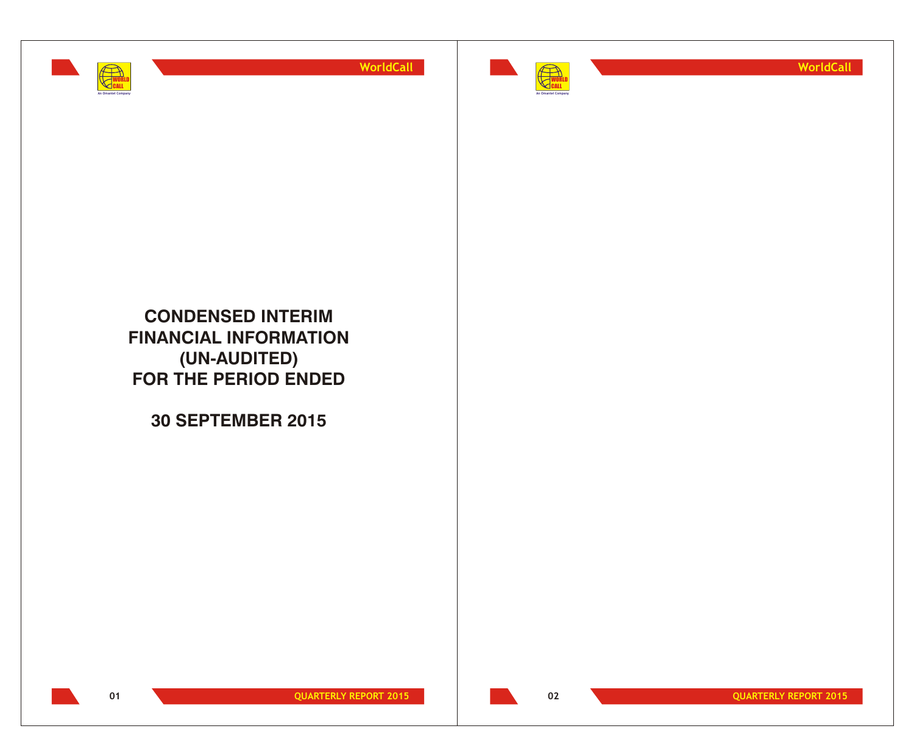



**WorldCall**

**CONDENSED INTERIM FINANCIAL INFORMATION (UN-AUDITED) FOR THE PERIOD ENDED**

**30 SEPTEMBER 2015**



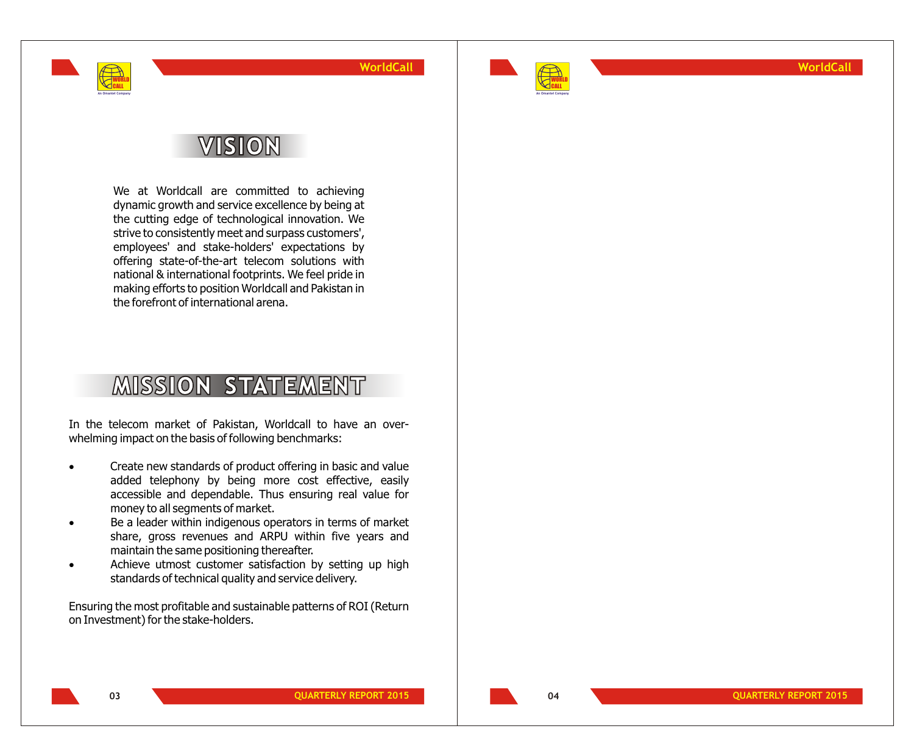

**WorldCall**

# **VISION**

WORLD CALL **An Omantel Company**

> We at Worldcall are committed to achieving dynamic growth and service excellence by being at the cutting edge of technological innovation. We strive to consistently meet and surpass customers', employees' and stake-holders' expectations by offering state-of-the-art telecom solutions with national & international footprints. We feel pride in making efforts to position Worldcall and Pakistan in the forefront of international arena.

# **MISSION STATEMENT**

In the telecom market of Pakistan, Worldcall to have an overwhelming impact on the basis of following benchmarks:

- Create new standards of product offering in basic and value added telephony by being more cost effective, easily accessible and dependable. Thus ensuring real value for money to all segments of market.
- Be a leader within indigenous operators in terms of market share, gross revenues and ARPU within five years and maintain the same positioning thereafter.
- Achieve utmost customer satisfaction by setting up high standards of technical quality and service delivery.
- Ensuring the most profitable and sustainable patterns of ROI (Return on Investment) for the stake-holders.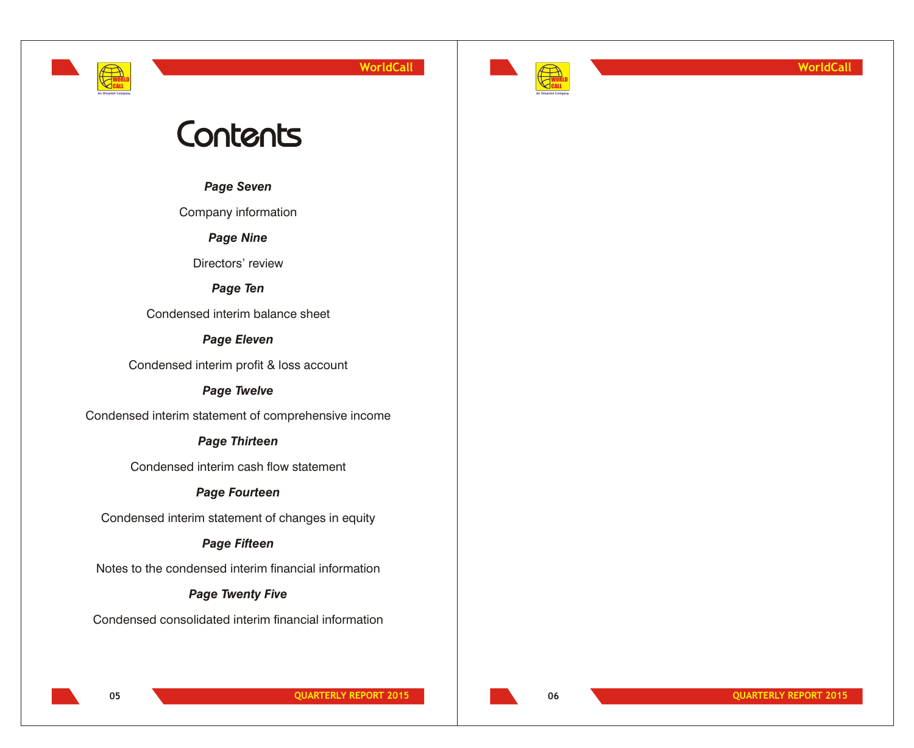# **An Omantel Company**

WORLD CALL

**WorldCall**



**WorldCall**

# Contents

*Page Seven*

Company information

*Page Nine*

Directors' review

*Page Ten*

Condensed interim balance sheet

## *Page Eleven*

Condensed interim profit & loss account

# *Page Twelve*

Condensed interim statement of comprehensive income

# *Page Thirteen*

Condensed interim cash flow statement

# *Page Fourteen*

Condensed interim statement of changes in equity

# *Page Fifteen*

Notes to the condensed interim financial information

# *Page Twenty Five*

Condensed consolidated interim financial information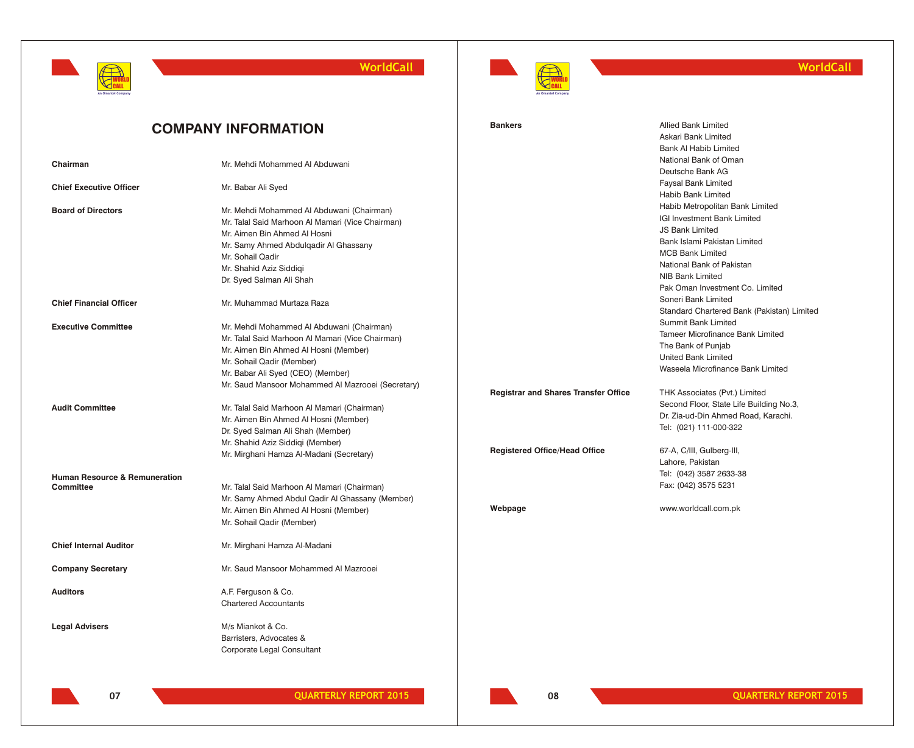



## **WorldCall**

|                                          | <b>COMPANY INFORMATION</b>                        | <b>Bankers</b>                              | <b>Allied Bank Limited</b>                 |
|------------------------------------------|---------------------------------------------------|---------------------------------------------|--------------------------------------------|
|                                          |                                                   |                                             | Askari Bank Limited                        |
|                                          |                                                   |                                             | <b>Bank AI Habib Limited</b>               |
| Chairman                                 | Mr. Mehdi Mohammed Al Abduwani                    |                                             | National Bank of Oman                      |
|                                          |                                                   |                                             | Deutsche Bank AG                           |
| <b>Chief Executive Officer</b>           | Mr. Babar Ali Syed                                |                                             | Faysal Bank Limited                        |
|                                          |                                                   |                                             | Habib Bank Limited                         |
| <b>Board of Directors</b>                | Mr. Mehdi Mohammed Al Abduwani (Chairman)         |                                             | Habib Metropolitan Bank Limited            |
|                                          | Mr. Talal Said Marhoon Al Mamari (Vice Chairman)  |                                             | IGI Investment Bank Limited                |
|                                          | Mr. Aimen Bin Ahmed Al Hosni                      |                                             | <b>JS Bank Limited</b>                     |
|                                          | Mr. Samy Ahmed Abdulgadir Al Ghassany             |                                             | Bank Islami Pakistan Limited               |
|                                          | Mr. Sohail Qadir                                  |                                             | <b>MCB Bank Limited</b>                    |
|                                          | Mr. Shahid Aziz Siddigi                           |                                             | National Bank of Pakistan                  |
|                                          | Dr. Syed Salman Ali Shah                          |                                             | <b>NIB Bank Limited</b>                    |
|                                          |                                                   |                                             | Pak Oman Investment Co. Limited            |
| <b>Chief Financial Officer</b>           | Mr. Muhammad Murtaza Raza                         |                                             | Soneri Bank Limited                        |
|                                          |                                                   |                                             | Standard Chartered Bank (Pakistan) Limited |
| <b>Executive Committee</b>               | Mr. Mehdi Mohammed Al Abduwani (Chairman)         |                                             | <b>Summit Bank Limited</b>                 |
|                                          | Mr. Talal Said Marhoon Al Mamari (Vice Chairman)  |                                             | <b>Tameer Microfinance Bank Limited</b>    |
|                                          | Mr. Aimen Bin Ahmed Al Hosni (Member)             |                                             | The Bank of Punjab                         |
|                                          | Mr. Sohail Qadir (Member)                         |                                             | United Bank Limited                        |
|                                          | Mr. Babar Ali Syed (CEO) (Member)                 |                                             | Waseela Microfinance Bank Limited          |
|                                          | Mr. Saud Mansoor Mohammed Al Mazrooei (Secretary) |                                             |                                            |
|                                          |                                                   | <b>Registrar and Shares Transfer Office</b> | THK Associates (Pvt.) Limited              |
| <b>Audit Committee</b>                   | Mr. Talal Said Marhoon Al Mamari (Chairman)       |                                             | Second Floor, State Life Building No.3,    |
|                                          | Mr. Aimen Bin Ahmed Al Hosni (Member)             |                                             | Dr. Zia-ud-Din Ahmed Road, Karachi.        |
|                                          | Dr. Syed Salman Ali Shah (Member)                 |                                             | Tel: (021) 111-000-322                     |
|                                          | Mr. Shahid Aziz Siddiqi (Member)                  |                                             |                                            |
|                                          | Mr. Mirghani Hamza Al-Madani (Secretary)          | <b>Registered Office/Head Office</b>        | 67-A, C/III, Gulberg-III,                  |
|                                          |                                                   |                                             | Lahore, Pakistan                           |
| <b>Human Resource &amp; Remuneration</b> |                                                   |                                             | Tel: (042) 3587 2633-38                    |
| Committee                                | Mr. Talal Said Marhoon Al Mamari (Chairman)       |                                             | Fax: (042) 3575 5231                       |
|                                          | Mr. Samy Ahmed Abdul Qadir Al Ghassany (Member)   |                                             |                                            |
|                                          | Mr. Aimen Bin Ahmed Al Hosni (Member)             | Webpage                                     | www.worldcall.com.pk                       |
|                                          | Mr. Sohail Qadir (Member)                         |                                             |                                            |
| <b>Chief Internal Auditor</b>            | Mr. Mirghani Hamza Al-Madani                      |                                             |                                            |
| <b>Company Secretary</b>                 | Mr. Saud Mansoor Mohammed Al Mazrooei             |                                             |                                            |
| <b>Auditors</b>                          | A.F. Ferguson & Co.                               |                                             |                                            |
|                                          | <b>Chartered Accountants</b>                      |                                             |                                            |
| <b>Legal Advisers</b>                    | M/s Miankot & Co.                                 |                                             |                                            |
|                                          | Barristers, Advocates &                           |                                             |                                            |
|                                          | Corporate Legal Consultant                        |                                             |                                            |
|                                          |                                                   |                                             |                                            |
|                                          |                                                   |                                             |                                            |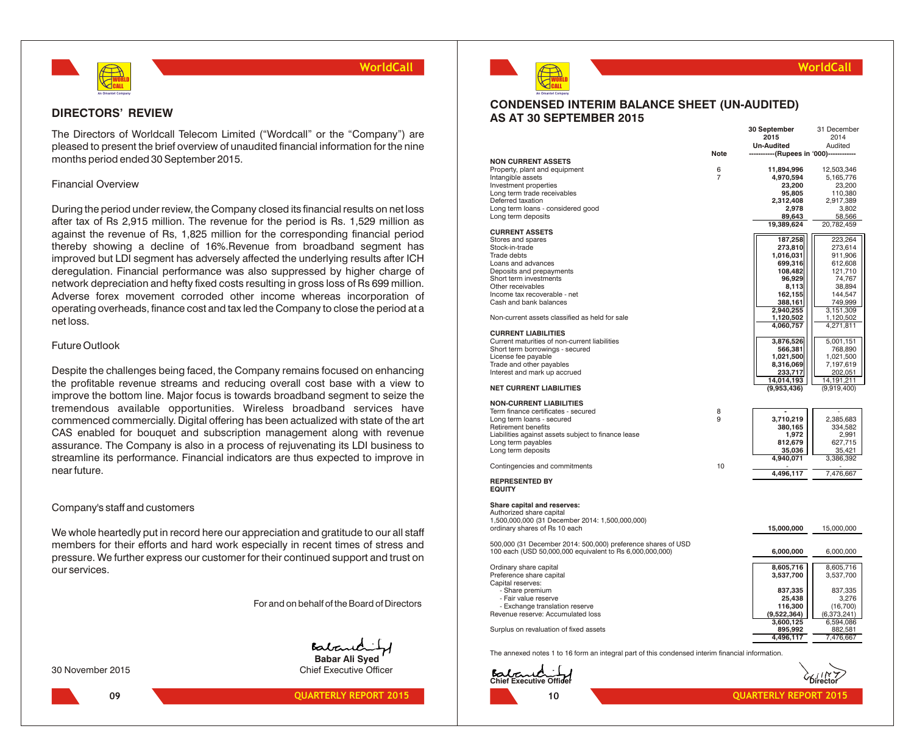

## **DIRECTORS' REVIEW**

The Directors of Worldcall Telecom Limited ("Wordcall" or the "Company") are pleased to present the brief overview of unaudited financial information for the nine months period ended 30 September 2015.

## Financial Overview

During the period under review, the Company closed its financial results on net loss after tax of Rs 2,915 million. The revenue for the period is Rs. 1,529 million as against the revenue of Rs, 1,825 million for the corresponding financial period thereby showing a decline of 16%.Revenue from broadband segment has improved but LDI segment has adversely affected the underlying results after ICH deregulation. Financial performance was also suppressed by higher charge of network depreciation and hefty fixed costs resulting in gross loss of Rs 699 million. Adverse forex movement corroded other income whereas incorporation of operating overheads, finance cost and tax led the Company to close the period at a net loss.

## Future Outlook

Despite the challenges being faced, the Company remains focused on enhancing the profitable revenue streams and reducing overall cost base with a view to improve the bottom line. Major focus is towards broadband segment to seize the tremendous available opportunities. Wireless broadband services have commenced commercially. Digital offering has been actualized with state of the art CAS enabled for bouquet and subscription management along with revenue assurance. The Company is also in a process of rejuvenating its LDI business to streamline its performance. Financial indicators are thus expected to improve in near future.

## Company's staff and customers

We whole heartedly put in record here our appreciation and gratitude to our all staff members for their efforts and hard work especially in recent times of stress and pressure. We further express our customer for their continued support and trust on our services.

For and on behalf of the Board of Directors

Batane **Babar Ali Syed**

30 November 2015 Chief Executive Officer





## **WorldCall**

## **CONDENSED INTERIM BALANCE SHEET (UN-AUDITED) AS AT 30 SEPTEMBER 2015**

|                                                                                                  |             | 30 September                                    | 31 December                     |
|--------------------------------------------------------------------------------------------------|-------------|-------------------------------------------------|---------------------------------|
|                                                                                                  |             | 2015                                            | 2014                            |
|                                                                                                  | <b>Note</b> | Un-Audited<br>--------(Rupees in '000)--------- | Audited                         |
| <b>NON CURRENT ASSETS</b>                                                                        |             |                                                 |                                 |
| Property, plant and equipment                                                                    | 6           | 11,894,996                                      | 12,503,346                      |
| Intangible assets                                                                                | 7           | 4,970,594                                       | 5,165,776                       |
| Investment properties                                                                            |             | 23,200                                          | 23,200                          |
| Long term trade receivables                                                                      |             | 95,805                                          | 110,380                         |
| Deferred taxation                                                                                |             | 2,312,408                                       | 2,917,389                       |
| Long term loans - considered good                                                                |             | 2,978                                           | 3,802                           |
| Long term deposits                                                                               |             | 89,643                                          | 58,566                          |
| <b>CURRENT ASSETS</b>                                                                            |             | 19,389,624                                      | 20,782,459                      |
| Stores and spares                                                                                |             | 187,258                                         | 223,264                         |
| Stock-in-trade                                                                                   |             | 273,810                                         | 273,614                         |
| Trade debts                                                                                      |             | 1,016,031                                       | 911,906                         |
| Loans and advances                                                                               |             | 699,316                                         | 612,608                         |
| Deposits and prepayments                                                                         |             | 108,482                                         | 121,710                         |
| Short term investments                                                                           |             | 96,929                                          | 74,767                          |
| Other receivables                                                                                |             | 8,113                                           | 38,894                          |
| Income tax recoverable - net                                                                     |             | 162,155                                         | 144,547                         |
| Cash and bank balances                                                                           |             | 388,161                                         | 749,999                         |
| Non-current assets classified as held for sale                                                   |             | 2,940,255                                       | 3,151,309<br>1,120,502          |
|                                                                                                  |             | 1,120,502<br>4,060,757                          | 4,271,811                       |
| <b>CURRENT LIABILITIES</b>                                                                       |             |                                                 |                                 |
| Current maturities of non-current liabilities                                                    |             | 3,876,526                                       | 5,001,151                       |
| Short term borrowings - secured                                                                  |             | 566,381                                         | 768,890                         |
| License fee payable                                                                              |             | 1,021,500                                       | 1,021,500                       |
| Trade and other payables                                                                         |             | 8,316,069                                       | 7,197,619                       |
| Interest and mark up accrued                                                                     |             | 233,717                                         | 202,051                         |
| <b>NET CURRENT LIABILITIES</b>                                                                   |             | 14,014,193<br>(9,953,436)                       | 14,191,211<br>(9,919,400)       |
|                                                                                                  |             |                                                 |                                 |
| <b>NON-CURRENT LIABILITIES</b>                                                                   |             |                                                 |                                 |
| Term finance certificates - secured                                                              | 8           |                                                 |                                 |
| Long term loans - secured                                                                        | 9           | 3,710,219                                       | 2,385,683                       |
| Retirement benefits                                                                              |             | 380,165                                         | 334,582                         |
| Liabilities against assets subject to finance lease<br>Long term payables                        |             | 1,972<br>812,679                                | 2,991<br>627,715                |
| Long term deposits                                                                               |             | 35,036                                          | 35,421                          |
|                                                                                                  |             | 4,940,071                                       | 3,386,392                       |
| Contingencies and commitments                                                                    | 10          |                                                 |                                 |
| <b>REPRESENTED BY</b>                                                                            |             | 4,496,117                                       | 7,476,667                       |
| <b>EQUITY</b>                                                                                    |             |                                                 |                                 |
|                                                                                                  |             |                                                 |                                 |
| Share capital and reserves:                                                                      |             |                                                 |                                 |
| Authorized share capital<br>1,500,000,000 (31 December 2014: 1,500,000,000)                      |             |                                                 |                                 |
| ordinary shares of Rs 10 each                                                                    |             | 15,000,000                                      | 15,000,000                      |
|                                                                                                  |             |                                                 |                                 |
| 500,000 (31 December 2014: 500,000) preference shares of USD                                     |             |                                                 |                                 |
| 100 each (USD 50,000,000 equivalent to Rs 6,000,000,000)                                         |             | 6,000,000                                       | 6,000,000                       |
|                                                                                                  |             |                                                 |                                 |
| Ordinary share capital<br>Preference share capital                                               |             | 8,605,716                                       | 8,605,716                       |
| Capital reserves:                                                                                |             | 3,537,700                                       | 3,537,700                       |
| - Share premium                                                                                  |             | 837,335                                         | 837,335                         |
| - Fair value reserve                                                                             |             | 25,438                                          | 3,276                           |
| - Exchange translation reserve                                                                   |             | 116,300                                         | (16, 700)                       |
| Revenue reserve: Accumulated loss                                                                |             | (9,522,364)                                     | (6,373,241)                     |
|                                                                                                  |             | 3,600,125                                       | 6,594,086                       |
| Surplus on revaluation of fixed assets                                                           |             | 895,992                                         | 882,581                         |
|                                                                                                  |             | 4,496,117                                       | 7,476,667                       |
| The annexed notes 1 to 16 form an integral part of this condensed interim financial information. |             |                                                 |                                 |
|                                                                                                  |             |                                                 |                                 |
| Babaud 1                                                                                         |             |                                                 |                                 |
|                                                                                                  |             |                                                 | $\hat{\zeta}_{\text{hirector}}$ |

**10**

**09 QUARTERLY REPORT 2015 QUARTERLY REPORT 2015 10 10 QUARTERLY REPORT 2015**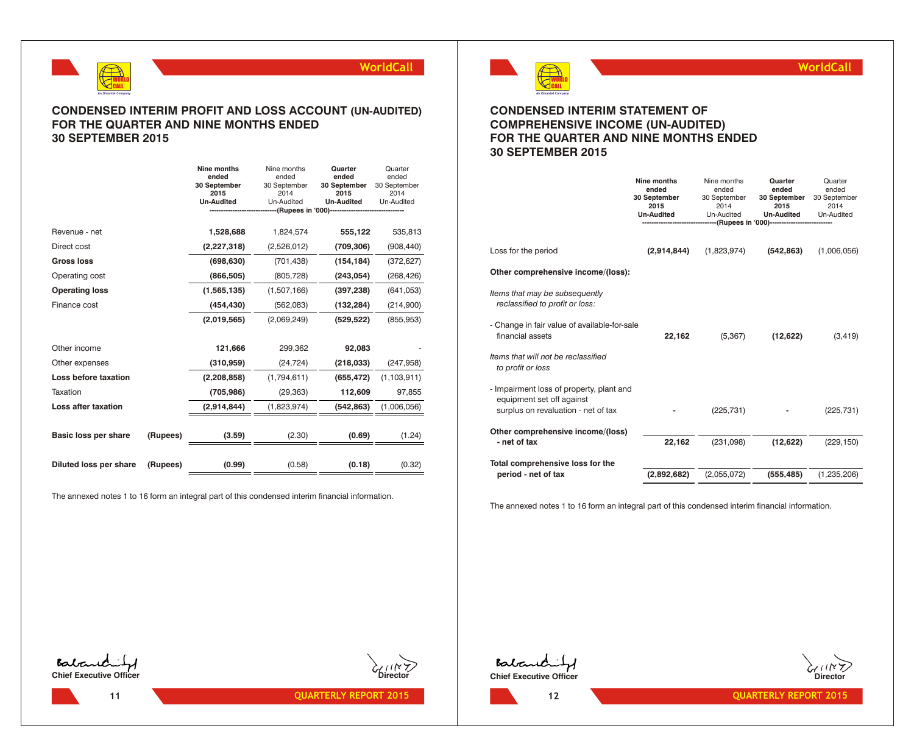

## **CONDENSED INTERIM PROFIT AND LOSS ACCOUNT (UN-AUDITED) FOR THE QUARTER AND NINE MONTHS ENDED 30 SEPTEMBER 2015**

|                             |          | Nine months<br>ended<br>30 September<br>2015<br><b>Un-Audited</b> | Nine months<br>ended<br>30 September<br>2014<br>Un-Audited<br>--(Rupees in '000)------------ | Quarter<br>ended<br>30 September<br>2015<br><b>Un-Audited</b> | Quarter<br>ended<br>30 September<br>2014<br>Un-Audited |
|-----------------------------|----------|-------------------------------------------------------------------|----------------------------------------------------------------------------------------------|---------------------------------------------------------------|--------------------------------------------------------|
| Revenue - net               |          | 1,528,688                                                         | 1,824,574                                                                                    | 555,122                                                       | 535,813                                                |
| Direct cost                 |          | (2, 227, 318)                                                     | (2,526,012)                                                                                  | (709, 306)                                                    | (908, 440)                                             |
| <b>Gross loss</b>           |          | (698, 630)                                                        | (701, 438)                                                                                   | (154, 184)                                                    | (372, 627)                                             |
| Operating cost              |          | (866, 505)                                                        | (805, 728)                                                                                   | (243, 054)                                                    | (268, 426)                                             |
| <b>Operating loss</b>       |          | (1,565,135)                                                       | (1,507,166)                                                                                  | (397, 238)                                                    | (641, 053)                                             |
| Finance cost                |          | (454, 430)                                                        | (562,083)                                                                                    | (132, 284)                                                    | (214,900)                                              |
|                             |          | (2,019,565)                                                       | (2,069,249)                                                                                  | (529, 522)                                                    | (855, 953)                                             |
|                             |          |                                                                   |                                                                                              |                                                               |                                                        |
| Other income                |          | 121,666                                                           | 299,362                                                                                      | 92,083                                                        |                                                        |
| Other expenses              |          | (310, 959)                                                        | (24, 724)                                                                                    | (218, 033)                                                    | (247, 958)                                             |
| Loss before taxation        |          | (2, 208, 858)                                                     | (1,794,611)                                                                                  | (655, 472)                                                    | (1, 103, 911)                                          |
| Taxation                    |          | (705, 986)                                                        | (29, 363)                                                                                    | 112,609                                                       | 97,855                                                 |
| Loss after taxation         |          | (2,914,844)                                                       | (1,823,974)                                                                                  | (542, 863)                                                    | (1,006,056)                                            |
| <b>Basic loss per share</b> | (Rupees) | (3.59)                                                            | (2.30)                                                                                       | (0.69)                                                        | (1.24)                                                 |
| Diluted loss per share      | (Rupees) | (0.99)                                                            | (0.58)                                                                                       | (0.18)                                                        | (0.32)                                                 |

The annexed notes 1 to 16 form an integral part of this condensed interim financial information.



**WorldCall**

## **CONDENSED INTERIM STATEMENT OF COMPREHENSIVE INCOME (UN-AUDITED) FOR THE QUARTER AND NINE MONTHS ENDED 30 SEPTEMBER 2015**

|                                                                                                              | Nine months<br>ended<br>30 September<br>2015<br><b>Un-Audited</b> | Nine months<br>ended<br>30 September<br>2014<br>Un-Audited | Quarter<br>ended<br>30 September<br>2015<br><b>Un-Audited</b><br>-----(Rupees in '000)---------------------------- | Quarter<br>ended<br>30 September<br>2014<br>Un-Audited |
|--------------------------------------------------------------------------------------------------------------|-------------------------------------------------------------------|------------------------------------------------------------|--------------------------------------------------------------------------------------------------------------------|--------------------------------------------------------|
| Loss for the period                                                                                          | (2,914,844)                                                       | (1,823,974)                                                | (542, 863)                                                                                                         | (1,006,056)                                            |
| Other comprehensive income/(loss):                                                                           |                                                                   |                                                            |                                                                                                                    |                                                        |
| Items that may be subsequently<br>reclassified to profit or loss:                                            |                                                                   |                                                            |                                                                                                                    |                                                        |
| - Change in fair value of available-for-sale<br>financial assets                                             | 22,162                                                            | (5,367)                                                    | (12,622)                                                                                                           | (3, 419)                                               |
| Items that will not be reclassified<br>to profit or loss                                                     |                                                                   |                                                            |                                                                                                                    |                                                        |
| - Impairment loss of property, plant and<br>equipment set off against<br>surplus on revaluation - net of tax |                                                                   | (225, 731)                                                 |                                                                                                                    | (225, 731)                                             |
| Other comprehensive income/(loss)                                                                            |                                                                   |                                                            |                                                                                                                    |                                                        |
| - net of tax                                                                                                 | 22,162                                                            | (231,098)                                                  | (12, 622)                                                                                                          | (229, 150)                                             |
| Total comprehensive loss for the                                                                             |                                                                   |                                                            |                                                                                                                    |                                                        |
| period - net of tax                                                                                          | (2,892,682)                                                       | (2,055,072)                                                | (555, 485)                                                                                                         | (1,235,206)                                            |

The annexed notes 1 to 16 form an integral part of this condensed interim financial information.





Babandi **Chief Executive Officer** 



**12**

**11 QUARTERLY REPORT 2015 12 QUARTERLY REPORT 2015 12 QUARTERLY REPORT 2015**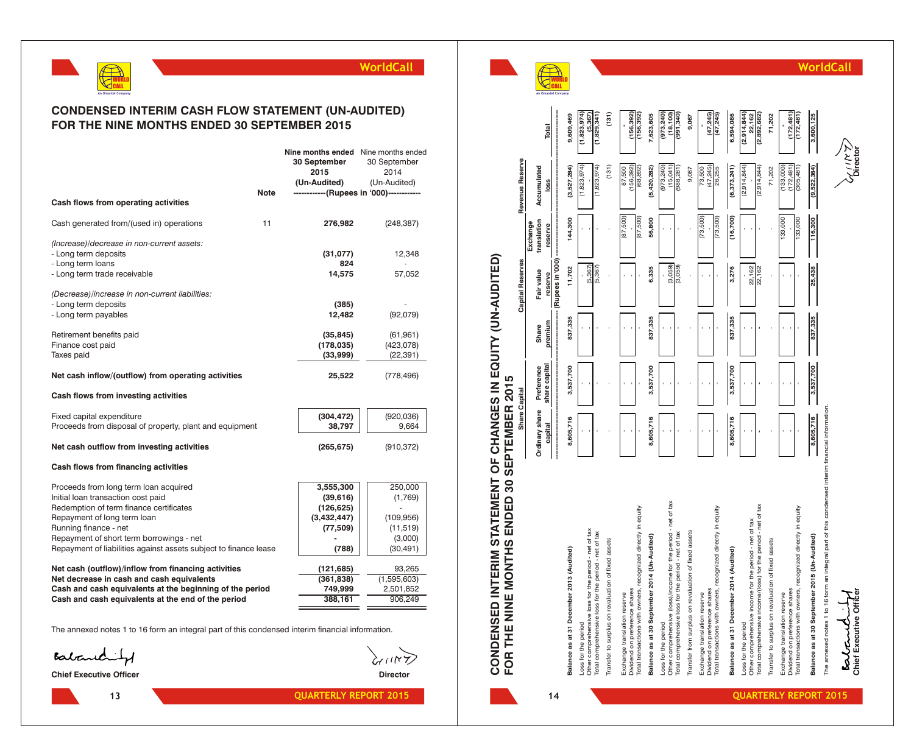

## **CONDENSED INTERIM CASH FLOW STATEMENT (UN-AUDITED) FOR THE NINE MONTHS ENDED 30 SEPTEMBER 2015**

|                                                                                                                                                             | <b>Note</b> | <b>Nine months ended</b> Nine months ended<br>30 September<br>2015<br>(Un-Audited) | 30 September<br>2014<br>(Un-Audited)<br>-------------(Rupees in '000)------------- |
|-------------------------------------------------------------------------------------------------------------------------------------------------------------|-------------|------------------------------------------------------------------------------------|------------------------------------------------------------------------------------|
| Cash flows from operating activities                                                                                                                        |             |                                                                                    |                                                                                    |
| Cash generated from/(used in) operations                                                                                                                    | 11          | 276,982                                                                            | (248, 387)                                                                         |
| (Increase)/decrease in non-current assets:<br>- Long term deposits<br>- Long term loans                                                                     |             | (31,077)<br>824                                                                    | 12,348                                                                             |
| - Long term trade receivable                                                                                                                                |             | 14,575                                                                             | 57,052                                                                             |
| (Decrease)/increase in non-current liabilities:<br>- Long term deposits<br>- Long term payables                                                             |             | (385)<br>12,482                                                                    | (92,079)                                                                           |
| Retirement benefits paid<br>Finance cost paid<br>Taxes paid                                                                                                 |             | (35, 845)<br>(178, 035)<br>(33,999)                                                | (61, 961)<br>(423, 078)<br>(22, 391)                                               |
| Net cash inflow/(outflow) from operating activities                                                                                                         |             | 25,522                                                                             | (778, 496)                                                                         |
| Cash flows from investing activities                                                                                                                        |             |                                                                                    |                                                                                    |
| Fixed capital expenditure<br>Proceeds from disposal of property, plant and equipment                                                                        |             | (304, 472)<br>38,797                                                               | (920, 036)<br>9,664                                                                |
| Net cash outflow from investing activities                                                                                                                  |             | (265, 675)                                                                         | (910, 372)                                                                         |
| Cash flows from financing activities                                                                                                                        |             |                                                                                    |                                                                                    |
| Proceeds from long term loan acquired<br>Initial loan transaction cost paid<br>Redemption of term finance certificates<br>Repayment of long term loan       |             | 3,555,300<br>(39,616)<br>(126, 625)<br>(3,432,447)                                 | 250,000<br>(1,769)<br>(109, 956)                                                   |
| Running finance - net<br>Repayment of short term borrowings - net<br>Repayment of liabilities against assets subject to finance lease                       |             | (77, 509)<br>(788)                                                                 | (11, 519)<br>(3,000)<br>(30, 491)                                                  |
| Net cash (outflow)/inflow from financing activities                                                                                                         |             | (121, 685)                                                                         | 93,265                                                                             |
| Net decrease in cash and cash equivalents<br>Cash and cash equivalents at the beginning of the period<br>Cash and cash equivalents at the end of the period |             | (361, 838)<br>749,999<br>388,161                                                   | (1,595,603)<br>2,501,852<br>906,249                                                |
|                                                                                                                                                             |             |                                                                                    |                                                                                    |

The annexed notes 1 to 16 form an integral part of this condensed interim financial information.

Balanchity

**Chief Executive Officer Director** 



**13 14**

 $\widetilde{\mathcal{K}}$ m



| CONDENSED INTERIM STATEWENT OF CHANGES IN EQUITY (UN-AUDITED)<br>FOR THE NINE MONTHS ENDED 30 SEPTEMBER 2015                                   |                |               |         |                             |                         |                                       |                                       |
|------------------------------------------------------------------------------------------------------------------------------------------------|----------------|---------------|---------|-----------------------------|-------------------------|---------------------------------------|---------------------------------------|
|                                                                                                                                                | Share Capital  |               |         | <b>Capital Reserves</b>     |                         | Revenue Reserve                       |                                       |
|                                                                                                                                                | Ordinary share | Preference    | Share   | Fair value                  | translation<br>Exchange | Accumulated                           |                                       |
|                                                                                                                                                | capital        | share capital | premium | (Rupees in '000)<br>reserve | reserve                 | loss                                  | Total                                 |
| Balance as at 31 December 2013 (Audited)                                                                                                       | 8,605,716      | 3,537,700     | 837,335 | 11,702                      | 144,300                 | (3,527,284)                           | 9,609,469                             |
| Other comprehensive loss for the period - net of tax<br>Loss for the period                                                                    |                |               |         | (5, 367)                    |                         | (1,823,974)                           | (1,823,974)<br>5.367                  |
| Total comprehensive loss for the period - net of tax<br>Transfer to surplus on revaluation of fixed assets                                     |                |               |         | (5, 367)                    |                         | (131)<br>(1,823,974)                  | (131)<br>(1,829,341)                  |
| Dividend on preference shares<br>Exchange translation reserve                                                                                  |                |               |         |                             | (87, 500)               | 156,392<br>87,500                     | 156,392)                              |
| Total transactions with owners, recognized directly in equity                                                                                  |                |               |         |                             | (87,500)                | (68, 892)                             | (156, 392)                            |
| Balance as at 30 September 2014 (Un-Audited)                                                                                                   | 8,605,716      | 3,537,700     | 837,335 | 6,335                       | 56,800                  | (5,420,282)                           | 7,623,605                             |
| Other comprehensive (loss)/income for the period - net of tax<br>Total comprehensive loss for the period - net of tax<br>Loss for the period   |                |               |         | (3,059)<br>(3,059)          |                         | (973, 240)<br>(15,041)<br>(988, 281)  | (973, 240)<br>(18, 100)<br>(991, 340) |
| Transfer from surplus on revaluation of fixed assets                                                                                           |                |               |         |                             |                         | 9,067                                 | 9,067                                 |
| Total transactions with owners, recognized directly in equity<br>Dividend on preference shares<br>Exchange translation reserve                 |                |               |         |                             | (73, 500)<br>(73, 500)  | (47, 245)<br>73,500<br>26,255         | (47, 245)<br>(47, 245)                |
| Balance as at 31 December 2014 (Audited)                                                                                                       | 8,605,716      | 3,537,700     | 837,335 | 3,276                       | (16,700)                | (6, 373, 241)                         | 6,594,086                             |
| Total comprehensive income/(loss) for the period - net of tax<br>Other comprehensive income for the period - net of tax<br>Loss for the period |                |               |         | 22,162<br>22,162            |                         | (2,914,844)<br>(2,914,844)            | (2,914,844)<br>22,162<br>(2,892,682   |
| Transfer to surplus on revaluation of fixed assets                                                                                             |                |               |         |                             |                         | 71,202                                | 71,202                                |
| Total transactions with owners, recognized directly in equity<br>Dividend on preference shares<br>Exchange translation reserve                 |                |               |         |                             | 133,000<br>133,000      | (133,000)<br>(172, 481)<br>(305, 481) | (172, 481)<br>(172, 481)              |
| Balance as at 30 September 2015 (Un-Audited)                                                                                                   | 8,605,716      | 3,537,700     | 837,335 | 25,438                      | 116,300                 | (9,522,364)                           | 3,600,125                             |
| The annexed notes 1 to 16 form an integral part of this condensed interim financial information.<br>Chief Executive Officer<br>entant.         |                |               |         |                             |                         |                                       |                                       |

**Chief Executive Officer Director** The annexed notes 1 to 16 form an integral part of this Bolched f

**WorldCall**

**QUARTERLY REPORT 2015 QUARTERLY REPORT 2015**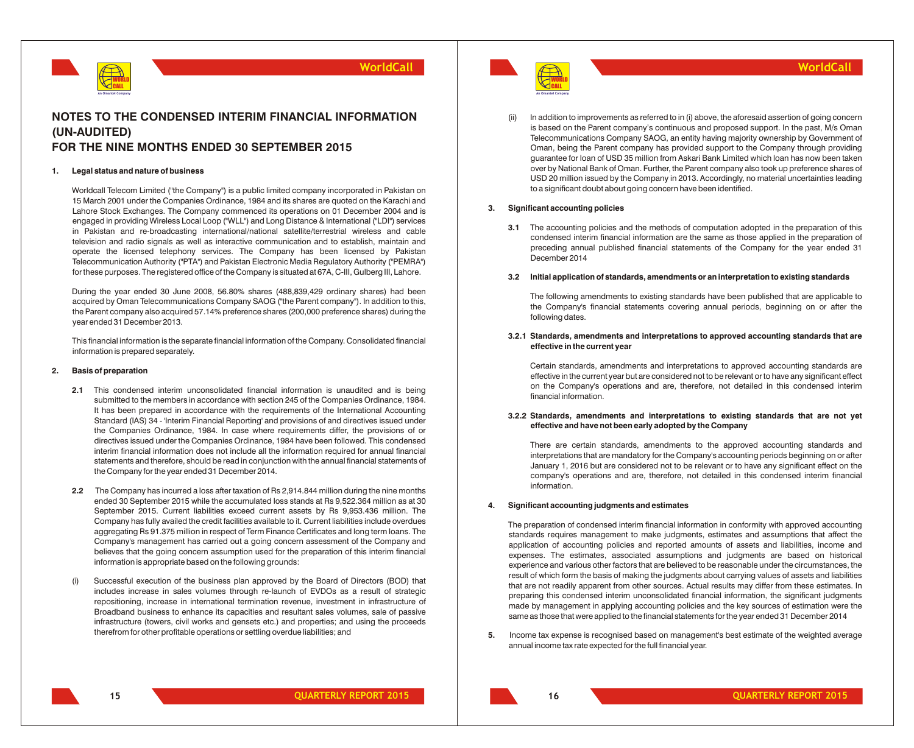

## **NOTES TO THE CONDENSED INTERIM FINANCIAL INFORMATION (UN-AUDITED) FOR THE NINE MONTHS ENDED 30 SEPTEMBER 2015**

#### **1. Legal status and nature of business**

Worldcall Telecom Limited ("the Company") is a public limited company incorporated in Pakistan on 15 March 2001 under the Companies Ordinance, 1984 and its shares are quoted on the Karachi and Lahore Stock Exchanges. The Company commenced its operations on 01 December 2004 and is engaged in providing Wireless Local Loop ("WLL") and Long Distance & International ("LDI") services in Pakistan and re-broadcasting international/national satellite/terrestrial wireless and cable television and radio signals as well as interactive communication and to establish, maintain and operate the licensed telephony services. The Company has been licensed by Pakistan Telecommunication Authority ("PTA") and Pakistan Electronic Media Regulatory Authority ("PEMRA") for these purposes. The registered office of the Company is situated at 67A, C-III, Gulberg III, Lahore.

During the year ended 30 June 2008, 56.80% shares (488,839,429 ordinary shares) had been acquired by Oman Telecommunications Company SAOG ("the Parent company"). In addition to this, the Parent company also acquired 57.14% preference shares (200,000 preference shares) during the year ended 31 December 2013.

This financial information is the separate financial information of the Company. Consolidated financial information is prepared separately.

#### **2. Basis of preparation**

- **2.1** This condensed interim unconsolidated financial information is unaudited and is being submitted to the members in accordance with section 245 of the Companies Ordinance, 1984. It has been prepared in accordance with the requirements of the International Accounting Standard (IAS) 34 - 'Interim Financial Reporting' and provisions of and directives issued under the Companies Ordinance, 1984. In case where requirements differ, the provisions of or directives issued under the Companies Ordinance, 1984 have been followed. This condensed interim financial information does not include all the information required for annual financial statements and therefore, should be read in conjunction with the annual financial statements of the Company for the year ended 31 December 2014.
- **2.2** The Company has incurred a loss after taxation of Rs 2,914.844 million during the nine months ended 30 September 2015 while the accumulated loss stands at Rs 9,522.364 million as at 30 September 2015. Current liabilities exceed current assets by Rs 9,953.436 million. The Company has fully availed the credit facilities available to it. Current liabilities include overdues aggregating Rs 91.375 million in respect of Term Finance Certificates and long term loans. The Company's management has carried out a going concern assessment of the Company and believes that the going concern assumption used for the preparation of this interim financial information is appropriate based on the following grounds:
- (i) Successful execution of the business plan approved by the Board of Directors (BOD) that includes increase in sales volumes through re-launch of EVDOs as a result of strategic repositioning, increase in international termination revenue, investment in infrastructure of Broadband business to enhance its capacities and resultant sales volumes, sale of passive infrastructure (towers, civil works and gensets etc.) and properties; and using the proceeds therefrom for other profitable operations or settling overdue liabilities; and



In addition to improvements as referred to in (i) above, the aforesaid assertion of going concern is based on the Parent company's continuous and proposed support. In the past, M/s Oman Telecommunications Company SAOG, an entity having majority ownership by Government of Oman, being the Parent company has provided support to the Company through providing guarantee for loan of USD 35 million from Askari Bank Limited which loan has now been taken over by National Bank of Oman. Further, the Parent company also took up preference shares of USD 20 million issued by the Company in 2013. Accordingly, no material uncertainties leading to a significant doubt about going concern have been identified.

#### **3. Significant accounting policies**

**3.1** The accounting policies and the methods of computation adopted in the preparation of this condensed interim financial information are the same as those applied in the preparation of preceding annual published financial statements of the Company for the year ended 31 December 2014

#### **3.2 Initial application of standards, amendments or an interpretation to existing standards**

The following amendments to existing standards have been published that are applicable to the Company's financial statements covering annual periods, beginning on or after the following dates.

## **3.2.1 Standards, amendments and interpretations to approved accounting standards that are effective in the current year**

Certain standards, amendments and interpretations to approved accounting standards are effective in the current year but are considered not to be relevant or to have any significant effect on the Company's operations and are, therefore, not detailed in this condensed interim financial information.

## **3.2.2 Standards, amendments and interpretations to existing standards that are not yet effective and have not been early adopted by the Company**

There are certain standards, amendments to the approved accounting standards and interpretations that are mandatory for the Company's accounting periods beginning on or after January 1, 2016 but are considered not to be relevant or to have any significant effect on the company's operations and are, therefore, not detailed in this condensed interim financial information.

#### **4. Significant accounting judgments and estimates**

The preparation of condensed interim financial information in conformity with approved accounting standards requires management to make judgments, estimates and assumptions that affect the application of accounting policies and reported amounts of assets and liabilities, income and expenses. The estimates, associated assumptions and judgments are based on historical experience and various other factors that are believed to be reasonable under the circumstances, the result of which form the basis of making the judgments about carrying values of assets and liabilities that are not readily apparent from other sources. Actual results may differ from these estimates. In preparing this condensed interim unconsolidated financial information, the significant judgments made by management in applying accounting policies and the key sources of estimation were the same as those that were applied to the financial statements for the year ended 31 December 2014

**5.** Income tax expense is recognised based on management's best estimate of the weighted average annual income tax rate expected for the full financial year.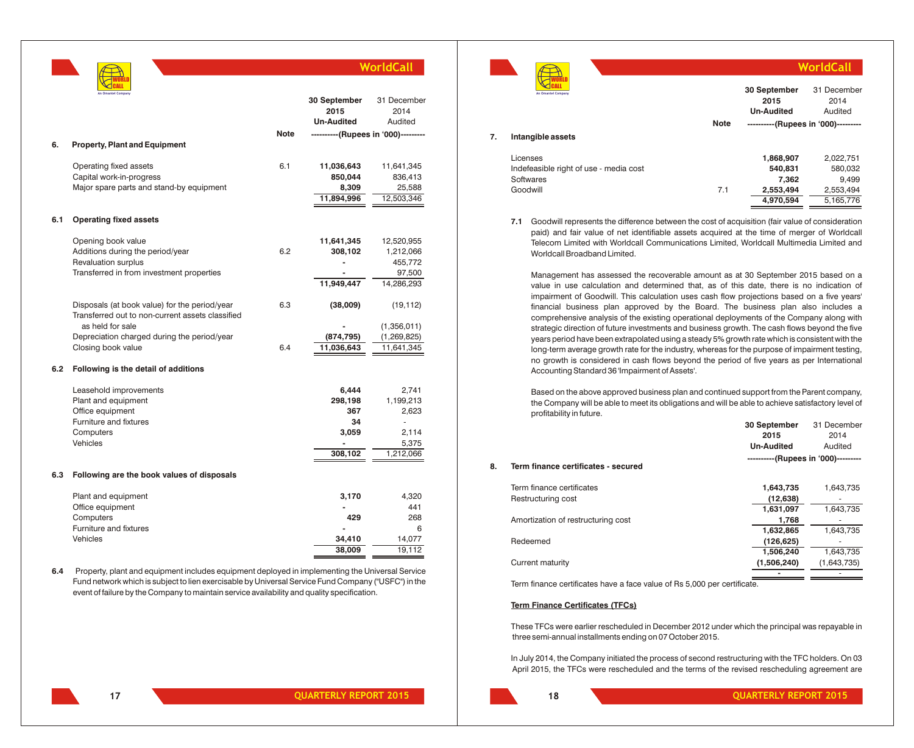|     | An Omantel Company                                                                                                                                                                                                                                                                                    |      | 30 September<br>2015<br><b>Un-Audited</b>                           | 31 December<br>2014<br>Audited                                   |
|-----|-------------------------------------------------------------------------------------------------------------------------------------------------------------------------------------------------------------------------------------------------------------------------------------------------------|------|---------------------------------------------------------------------|------------------------------------------------------------------|
|     |                                                                                                                                                                                                                                                                                                       | Note | ----------(Rupees in '000)---------                                 |                                                                  |
| 6.  | <b>Property, Plant and Equipment</b>                                                                                                                                                                                                                                                                  |      |                                                                     |                                                                  |
|     | Operating fixed assets<br>Capital work-in-progress<br>Major spare parts and stand-by equipment                                                                                                                                                                                                        | 6.1  | 11,036,643<br>850,044<br>8,309<br>11,894,996                        | 11,641,345<br>836,413<br>25,588<br>12,503,346                    |
| 6.1 | <b>Operating fixed assets</b>                                                                                                                                                                                                                                                                         |      |                                                                     |                                                                  |
|     | Opening book value<br>Additions during the period/year<br>Revaluation surplus<br>Transferred in from investment properties                                                                                                                                                                            | 6.2  | 11,641,345<br>308,102<br>11,949,447                                 | 12,520,955<br>1,212,066<br>455,772<br>97,500<br>14,286,293       |
|     | Disposals (at book value) for the period/year<br>Transferred out to non-current assets classified                                                                                                                                                                                                     | 6.3  | (38,009)                                                            | (19, 112)                                                        |
|     | as held for sale<br>Depreciation charged during the period/year<br>Closing book value                                                                                                                                                                                                                 | 6.4  | (874,795)<br>11,036,643                                             | (1,356,011)<br>(1, 269, 825)<br>11,641,345                       |
| 6.2 | Following is the detail of additions                                                                                                                                                                                                                                                                  |      |                                                                     |                                                                  |
|     | Leasehold improvements<br>Plant and equipment<br>Office equipment<br>Furniture and fixtures<br>Computers<br>Vehicles                                                                                                                                                                                  |      | 6,444<br>298,198<br>367<br>34<br>3,059<br>$\blacksquare$<br>308,102 | 2,741<br>1,199,213<br>2,623<br>÷.<br>2,114<br>5,375<br>1,212,066 |
| 6.3 | Following are the book values of disposals                                                                                                                                                                                                                                                            |      |                                                                     |                                                                  |
|     | Plant and equipment<br>Office equipment<br>Computers<br>Furniture and fixtures<br>Vehicles                                                                                                                                                                                                            |      | 3,170<br>429<br>34,410<br>38,009                                    | 4,320<br>441<br>268<br>6<br>14,077<br>19,112                     |
| 6.4 | Property, plant and equipment includes equipment deployed in implementing the Universal Service<br>Fund network which is subject to lien exercisable by Universal Service Fund Company ("USFC") in the<br>event of failure by the Company to maintain service availability and quality specification. |      |                                                                     |                                                                  |



**7.1** Goodwill represents the difference between the cost of acquisition (fair value of consideration paid) and fair value of net identifiable assets acquired at the time of merger of Worldcall Telecom Limited with Worldcall Communications Limited, Worldcall Multimedia Limited and Worldcall Broadband Limited.

Management has assessed the recoverable amount as at 30 September 2015 based on a value in use calculation and determined that, as of this date, there is no indication of impairment of Goodwill. This calculation uses cash flow projections based on a five years' financial business plan approved by the Board. The business plan also includes a comprehensive analysis of the existing operational deployments of the Company along with strategic direction of future investments and business growth. The cash flows beyond the five years period have been extrapolated using a steady 5% growth rate which is consistent with the long-term average growth rate for the industry, whereas for the purpose of impairment testing, no growth is considered in cash flows beyond the period of five years as per International Accounting Standard 36 'Impairment of Assets'.

Based on the above approved business plan and continued support from the Parent company, the Company will be able to meet its obligations and will be able to achieve satisfactory level of profitability in future.

|                                     |                                     | 31 December  |
|-------------------------------------|-------------------------------------|--------------|
|                                     | 2015                                | 2014         |
|                                     | <b>Un-Audited</b>                   | Audited      |
| Term finance certificates - secured | ----------(Rupees in '000)--------- |              |
| Term finance certificates           | 1,643,735                           | 1,643,735    |
| Restructuring cost                  | (12, 638)                           |              |
|                                     | 1,631,097                           | 1,643,735    |
| Amortization of restructuring cost  | 1,768                               |              |
|                                     | 1,632,865                           | 1,643,735    |
| Redeemed                            | (126, 625)                          |              |
|                                     | 1,506,240                           | 1,643,735    |
| Current maturity                    | (1,506,240)                         | (1,643,735)  |
|                                     |                                     |              |
|                                     |                                     | 30 September |

Term finance certificates have a face value of Rs 5,000 per certificate.

## **Term Finance Certificates (TFCs)**

These TFCs were earlier rescheduled in December 2012 under which the principal was repayable in three semi-annual installments ending on 07 October 2015.

In July 2014, the Company initiated the process of second restructuring with the TFC holders. On 03 April 2015, the TFCs were rescheduled and the terms of the revised rescheduling agreement are

WORLD CALL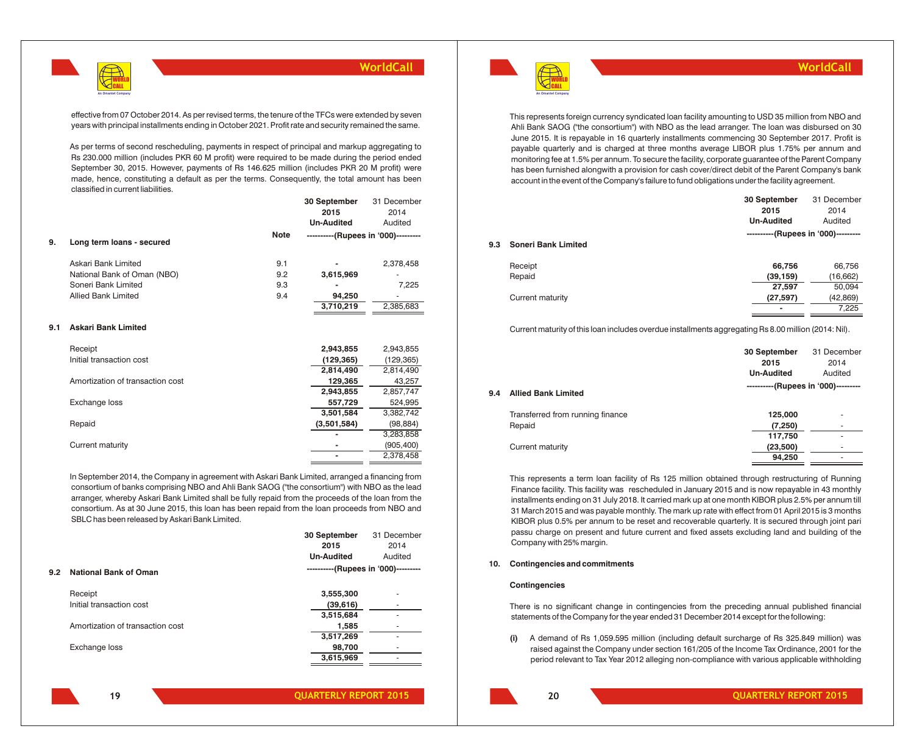

effective from 07 October 2014. As per revised terms, the tenure of the TFCs were extended by seven years with principal installments ending in October 2021. Profit rate and security remained the same.

As per terms of second rescheduling, payments in respect of principal and markup aggregating to Rs 230.000 million (includes PKR 60 M profit) were required to be made during the period ended September 30, 2015. However, payments of Rs 146.625 million (includes PKR 20 M profit) were made, hence, constituting a default as per the terms. Consequently, the total amount has been classified in current liabilities.

|     |                             |             | 30 September<br>2015<br><b>Un-Audited</b> | 31 December<br>2014<br>Audited |
|-----|-----------------------------|-------------|-------------------------------------------|--------------------------------|
| 9.  | Long term loans - secured   | <b>Note</b> | ----------(Rupees in '000)---------       |                                |
|     | Askari Bank Limited         | 9.1         |                                           | 2,378,458                      |
|     | National Bank of Oman (NBO) | 9.2         | 3,615,969                                 | ۰                              |
|     | Soneri Bank Limited         | 9.3         | $\overline{\phantom{a}}$                  | 7,225                          |
|     | Allied Bank Limited         | 9.4         | 94,250                                    | ۰                              |
|     |                             |             | 3,710,219                                 | 2,385,683                      |
| 9.1 | <b>Askari Bank Limited</b>  |             |                                           |                                |
|     | $D = 0$                     |             | O O 40 OFF                                | O O 40 OFF                     |

| (129, 365)<br>Initial transaction cost<br>(129, 365)<br>2,814,490<br>2,814,490<br>Amortization of transaction cost<br>43,257<br>129,365<br>2,857,747<br>2,943,855 |
|-------------------------------------------------------------------------------------------------------------------------------------------------------------------|
|                                                                                                                                                                   |
|                                                                                                                                                                   |
|                                                                                                                                                                   |
|                                                                                                                                                                   |
| Exchange loss<br>524,995<br>557,729                                                                                                                               |
| 3,382,742<br>3,501,584                                                                                                                                            |
| Repaid<br>(3,501,584)<br>(98, 884)                                                                                                                                |
| 3,283,858                                                                                                                                                         |
| Current maturity<br>(905, 400)                                                                                                                                    |
| 2,378,458                                                                                                                                                         |

In September 2014, the Company in agreement with Askari Bank Limited, arranged a financing from consortium of banks comprising NBO and Ahli Bank SAOG ("the consortium") with NBO as the lead arranger, whereby Askari Bank Limited shall be fully repaid from the proceeds of the loan from the consortium. As at 30 June 2015, this loan has been repaid from the loan proceeds from NBO and SBLC has been released by Askari Bank Limited.

|     |                                  | 30 September                        | 31 December |
|-----|----------------------------------|-------------------------------------|-------------|
|     |                                  | 2015                                | 2014        |
|     |                                  | <b>Un-Audited</b>                   | Audited     |
| 9.2 | <b>National Bank of Oman</b>     | ----------(Rupees in '000)--------- |             |
|     | Receipt                          | 3,555,300                           |             |
|     | Initial transaction cost         | (39, 616)                           |             |
|     |                                  | 3,515,684                           |             |
|     | Amortization of transaction cost | 1,585                               |             |
|     |                                  | 3,517,269                           |             |
|     | Exchange loss                    | 98,700                              |             |
|     |                                  | 3,615,969                           |             |
|     |                                  |                                     |             |



**WorldCall**

This represents foreign currency syndicated loan facility amounting to USD 35 million from NBO and Ahli Bank SAOG ("the consortium") with NBO as the lead arranger. The loan was disbursed on 30 June 2015. It is repayable in 16 quarterly installments commencing 30 September 2017. Profit is payable quarterly and is charged at three months average LIBOR plus 1.75% per annum and monitoring fee at 1.5% per annum. To secure the facility, corporate guarantee of the Parent Company has been furnished alongwith a provision for cash cover/direct debit of the Parent Company's bank account in the event of the Company's failure to fund obligations under the facility agreement.

|     |                            | 30 September                        | 31 December |
|-----|----------------------------|-------------------------------------|-------------|
|     |                            | 2015                                | 2014        |
|     |                            | <b>Un-Audited</b>                   | Audited     |
|     |                            | ----------(Rupees in '000)--------- |             |
| 9.3 | <b>Soneri Bank Limited</b> |                                     |             |
|     | Receipt                    | 66,756                              | 66,756      |
|     | Repaid                     | (39, 159)                           | (16, 662)   |
|     |                            | 27,597                              | 50,094      |
|     | Current maturity           | (27, 597)                           | (42, 869)   |
|     |                            | -                                   | 7.225       |

Current maturity of this loan includes overdue installments aggregating Rs 8.00 million (2014: Nil).

|     |                                  | 30 September<br>2015<br><b>Un-Audited</b> | 31 December<br>2014<br>Audited |
|-----|----------------------------------|-------------------------------------------|--------------------------------|
| 9.4 | <b>Allied Bank Limited</b>       | ----------(Rupees in '000)---------       |                                |
|     | Transferred from running finance | 125,000                                   | ٠                              |
|     | Repaid                           | (7, 250)                                  | ۰                              |
|     |                                  | 117,750                                   | ۰                              |
|     | Current maturity                 | (23,500)                                  | ۰                              |
|     |                                  | 94,250                                    | ٠                              |

This represents a term loan facility of Rs 125 million obtained through restructuring of Running Finance facility. This facility was rescheduled in January 2015 and is now repayable in 43 monthly installments ending on 31 July 2018. It carried mark up at one month KIBOR plus 2.5% per annum till 31 March 2015 and was payable monthly. The mark up rate with effect from 01 April 2015 is 3 months KIBOR plus 0.5% per annum to be reset and recoverable quarterly. It is secured through joint pari passu charge on present and future current and fixed assets excluding land and building of the Company with 25% margin.

#### **10. Contingencies and commitments**

## **Contingencies**

There is no significant change in contingencies from the preceding annual published financial statements of the Company for the year ended 31 December 2014 except for the following:

**(i)** A demand of Rs 1,059.595 million (including default surcharge of Rs 325.849 million) was raised against the Company under section 161/205 of the Income Tax Ordinance, 2001 for the period relevant to Tax Year 2012 alleging non-compliance with various applicable withholding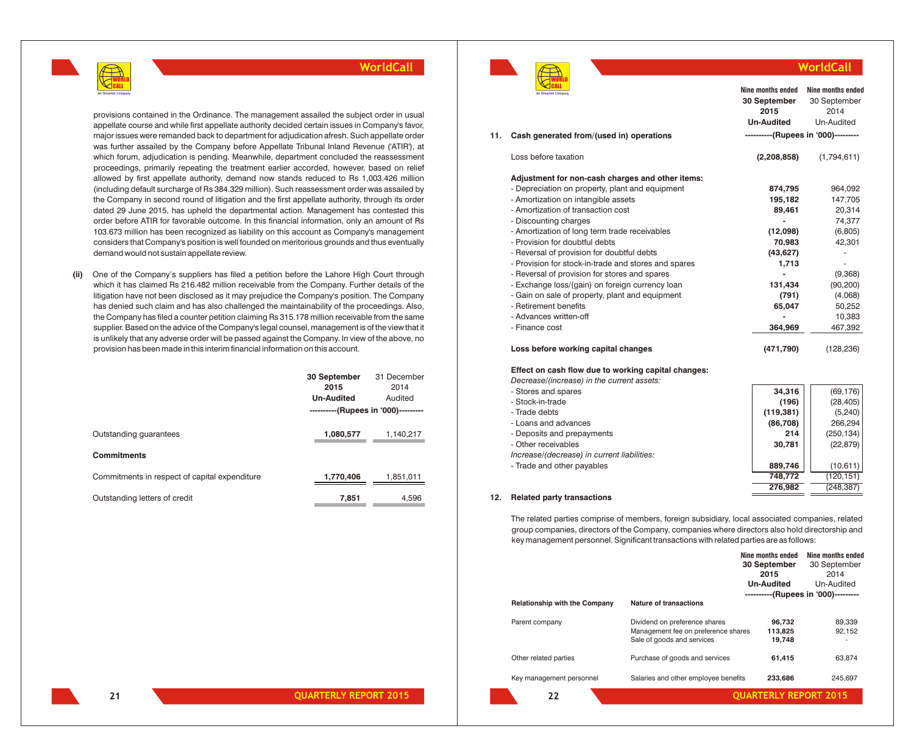

provisions contained in the Ordinance. The management assailed the subject order in usual appellate course and while first appellate authority decided certain issues in Company's favor, major issues were remanded back to department for adjudication afresh. Such appellate order was further assailed by the Company before Appellate Tribunal Inland Revenue ('ATIR'), at which forum, adjudication is pending. Meanwhile, department concluded the reassessment proceedings, primarily repeating the treatment earlier accorded, however, based on relief allowed by first appellate authority, demand now stands reduced to Rs 1,003.426 million (including default surcharge of Rs 384.329 million). Such reassessment order was assailed by the Company in second round of litigation and the first appellate authority, through its order dated 29 June 2015, has upheld the departmental action. Management has contested this order before ATIR for favorable outcome. In this financial information, only an amount of Rs 103.673 million has been recognized as liability on this account as Company's management considers that Company's position is well founded on meritorious grounds and thus eventually demand would not sustain appellate review.

**(ii)** One of the Company's suppliers has filed a petition before the Lahore High Court through which it has claimed Rs 216.482 million receivable from the Company. Further details of the litigation have not been disclosed as it may prejudice the Company's position. The Company has denied such claim and has also challenged the maintainability of the proceedings. Also, the Company has filed a counter petition claiming Rs 315.178 million receivable from the same supplier. Based on the advice of the Company's legal counsel, management is of the view that it is unlikely that any adverse order will be passed against the Company. In view of the above, no provision has been made in this interim financial information on this account.

|                                               | 30 September<br>2015<br><b>Un-Audited</b><br>----------(Rupees in '000)--------- | 31 December<br>2014<br>Audited |
|-----------------------------------------------|----------------------------------------------------------------------------------|--------------------------------|
| Outstanding quarantees                        | 1,080,577                                                                        | 1,140,217                      |
| <b>Commitments</b>                            |                                                                                  |                                |
| Commitments in respect of capital expenditure | 1,770,406                                                                        | 1,851,011                      |
| Outstanding letters of credit                 | 7.851                                                                            | 4.596                          |



|     |                                                      | 30 September<br>2015                | 30 September<br>2014 |
|-----|------------------------------------------------------|-------------------------------------|----------------------|
|     |                                                      | <b>Un-Audited</b>                   | Un-Audited           |
| 11. | Cash generated from/(used in) operations             | ----------(Rupees in '000)--------- |                      |
|     | Loss before taxation                                 | (2,208,858)                         | (1,794,611)          |
|     | Adjustment for non-cash charges and other items:     |                                     |                      |
|     | - Depreciation on property, plant and equipment      | 874,795                             | 964,092              |
|     | - Amortization on intangible assets                  | 195,182                             | 147,705              |
|     | - Amortization of transaction cost                   | 89,461                              | 20,314               |
|     | - Discounting charges                                |                                     | 74,377               |
|     | - Amortization of long term trade receivables        | (12,098)                            | (6,805)              |
|     | - Provision for doubtful debts                       | 70,983                              | 42,301               |
|     | - Reversal of provision for doubtful debts           | (43, 627)                           |                      |
|     | - Provision for stock-in-trade and stores and spares | 1,713                               |                      |
|     | - Reversal of provision for stores and spares        |                                     | (9,368)              |
|     | - Exchange loss/(gain) on foreign currency loan      | 131,434                             | (90, 200)            |
|     | - Gain on sale of property, plant and equipment      | (791)                               | (4,068)              |
|     | - Retirement benefits                                | 65,047                              | 50,252               |
|     | - Advances written-off                               |                                     | 10,383               |
|     | - Finance cost                                       | 364,969                             | 467,392              |
|     | Loss before working capital changes                  | (471,790)                           | (128, 236)           |

**WorldCall**

**Nine months ended Nine months ended**

#### **Effect on cash flow due to working capital changes:**

*Decrease/(increase) in the current assets:*

| - Stores and spares                         | 34.316     | (69, 176)  |
|---------------------------------------------|------------|------------|
| - Stock-in-trade                            | (196)      | (28, 405)  |
| - Trade debts                               | (119, 381) | (5, 240)   |
| - Loans and advances                        | (86,708)   | 266,294    |
| - Deposits and prepayments                  | 214        | (250, 134) |
| - Other receivables                         | 30,781     | (22, 879)  |
| Increase/(decrease) in current liabilities: |            |            |
| - Trade and other payables                  | 889,746    | (10,611)   |
|                                             | 748.772    | (120.151)  |
|                                             | 276.982    | (248.387)  |

## **12. Related party transactions**

The related parties comprise of members, foreign subsidiary, local associated companies, related group companies, directors of the Company, companies where directors also hold directorship and key management personnel. Significant transactions with related parties are as follows:

|                               |                                      | Nine months ended<br>30 September | Nine months ended<br>30 September   |
|-------------------------------|--------------------------------------|-----------------------------------|-------------------------------------|
|                               |                                      | 2015                              | 2014                                |
|                               |                                      | <b>Un-Audited</b>                 | Un-Audited                          |
|                               |                                      |                                   | ----------(Rupees in '000)--------- |
| Relationship with the Company | Nature of transactions               |                                   |                                     |
| Parent company                | Dividend on preference shares        | 96.732                            | 89,339                              |
|                               | Management fee on preference shares  | 113,825                           | 92,152                              |
|                               | Sale of goods and services           | 19,748                            |                                     |
| Other related parties         | Purchase of goods and services       | 61,415                            | 63.874                              |
|                               |                                      |                                   |                                     |
| Key management personnel      | Salaries and other employee benefits | 233.686                           | 245.697                             |
| 22                            |                                      | <b>OUARTERLY REPORT 2015</b>      |                                     |
|                               |                                      |                                   |                                     |

**21**

**QUARTERLY REPORT 2015 QUARTERLY REPORT 2015**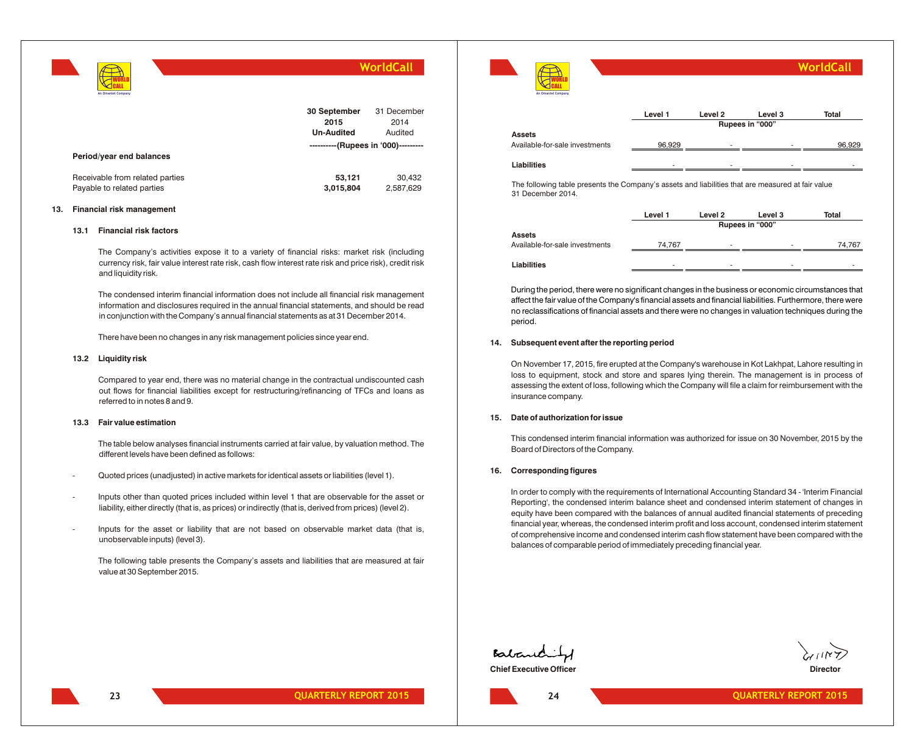

|                                                               | 30 September<br>2015<br><b>Un-Audited</b> | 31 December<br>2014<br>Audited |
|---------------------------------------------------------------|-------------------------------------------|--------------------------------|
| Period/year end balances                                      | ----------(Rupees in '000)---------       |                                |
| Receivable from related parties<br>Payable to related parties | 53,121<br>3,015,804                       | 30.432<br>2,587,629            |

## **13. Financial risk management**

#### **13.1 Financial risk factors**

WORLD CALL

The Company's activities expose it to a variety of financial risks: market risk (including currency risk, fair value interest rate risk, cash flow interest rate risk and price risk), credit risk and liquidity risk.

The condensed interim financial information does not include all financial risk management information and disclosures required in the annual financial statements, and should be read in conjunction with the Company's annual financial statements as at 31 December 2014.

There have been no changes in any risk management policies since year end.

#### **13.2 Liquidity risk**

Compared to year end, there was no material change in the contractual undiscounted cash out flows for financial liabilities except for restructuring/refinancing of TFCs and loans as referred to in notes 8 and 9.

## **13.3 Fair value estimation**

The table below analyses financial instruments carried at fair value, by valuation method. The different levels have been defined as follows:

- Quoted prices (unadjusted) in active markets for identical assets or liabilities (level 1).
- Inputs other than quoted prices included within level 1 that are observable for the asset or liability, either directly (that is, as prices) or indirectly (that is, derived from prices) (level 2).
- Inputs for the asset or liability that are not based on observable market data (that is, unobservable inputs) (level 3).

The following table presents the Company's assets and liabilities that are measured at fair value at 30 September 2015.



The following table presents the Company's assets and liabilities that are measured at fair value 31 December 2014.

|                                | Level 1 | Level 2                  | Level 3                  | Total                    |
|--------------------------------|---------|--------------------------|--------------------------|--------------------------|
|                                |         |                          | Rupees in "000"          |                          |
| <b>Assets</b>                  |         |                          |                          |                          |
| Available-for-sale investments | 74.767  | $\overline{\phantom{a}}$ | $\overline{\phantom{0}}$ | 74.767                   |
|                                |         |                          |                          |                          |
| Liabilities                    | -       | $\overline{\phantom{a}}$ | $\overline{\phantom{a}}$ | $\overline{\phantom{a}}$ |

During the period, there were no significant changes in the business or economic circumstances that affect the fair value of the Company's financial assets and financial liabilities. Furthermore, there were no reclassifications of financial assets and there were no changes in valuation techniques during the period.

#### **14. Subsequent event after the reporting period**

On November 17, 2015, fire erupted at the Company's warehouse in Kot Lakhpat, Lahore resulting in loss to equipment, stock and store and spares lying therein. The management is in process of assessing the extent of loss, following which the Company will file a claim for reimbursement with the insurance company.

#### **15. Date of authorization for issue**

This condensed interim financial information was authorized for issue on 30 November, 2015 by the Board of Directors of the Company.

#### **16. Corresponding figures**

In order to comply with the requirements of International Accounting Standard 34 - 'Interim Financial Reporting', the condensed interim balance sheet and condensed interim statement of changes in equity have been compared with the balances of annual audited financial statements of preceding financial year, whereas, the condensed interim profit and loss account, condensed interim statement of comprehensive income and condensed interim cash flow statement have been compared with the balances of comparable period of immediately preceding financial year.

Babanditz **Chief Executive Officer Director Director Director Director Director Director** 

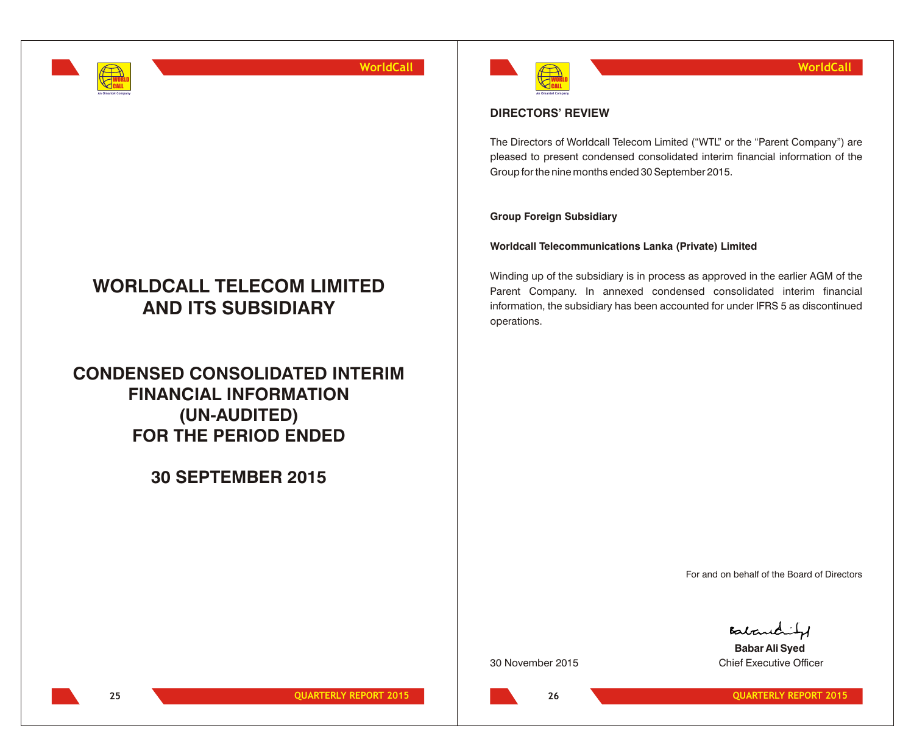

# **WORLDCALL TELECOM LIMITED AND ITS SUBSIDIARY**

**CONDENSED CONSOLIDATED INTERIM FINANCIAL INFORMATION (UN-AUDITED) FOR THE PERIOD ENDED**

**30 SEPTEMBER 2015**



## **DIRECTORS' REVIEW**

The Directors of Worldcall Telecom Limited ("WTL" or the "Parent Company") are pleased to present condensed consolidated interim financial information of the Group for the nine months ended 30 September 2015.

## **Group Foreign Subsidiary**

## **Worldcall Telecommunications Lanka (Private) Limited**

Winding up of the subsidiary is in process as approved in the earlier AGM of the Parent Company. In annexed condensed consolidated interim financial information, the subsidiary has been accounted for under IFRS 5 as discontinued operations.

For and on behalf of the Board of Directors

Babandity

**Babar Ali Syed** 30 November 2015 Chief Executive Officer

**26**

**25 QUARTERLY REPORT 2015 QUARTERLY REPORT 2015**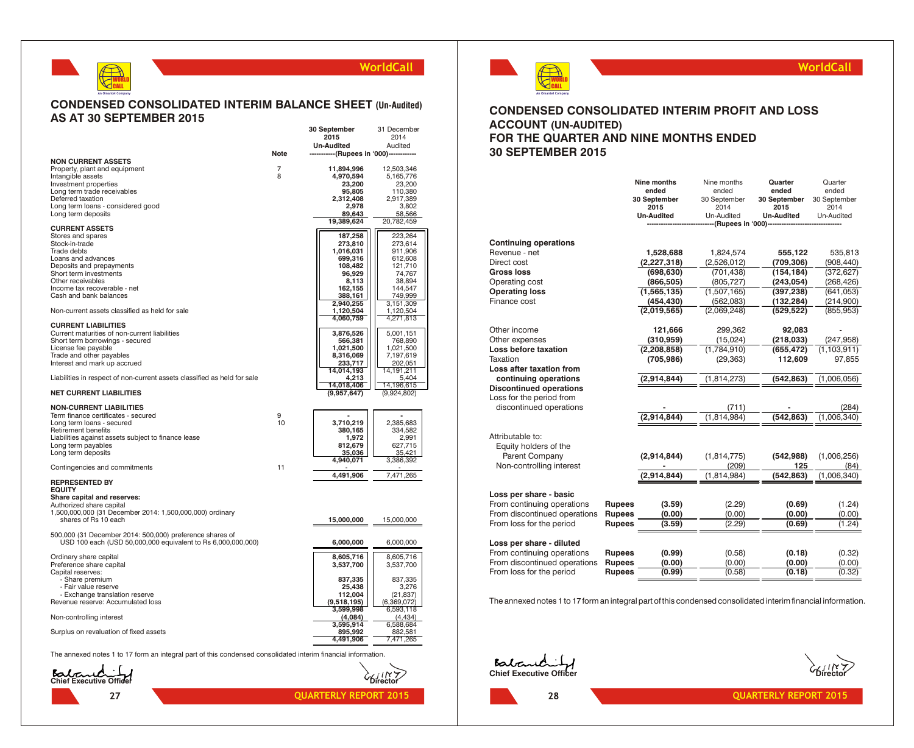## **CONDENSED CONSOLIDATED INTERIM BALANCE SHEET (Un-Audited) AS AT 30 SEPTEMBER 2015**

WORLD CALL **An Omantel Company**

**27**

|                                                                                                               |      | 30 September                            | 31 December          |
|---------------------------------------------------------------------------------------------------------------|------|-----------------------------------------|----------------------|
|                                                                                                               |      | 2015                                    | 2014                 |
|                                                                                                               | Note | <b>Un-Audited</b>                       | Audited              |
| <b>NON CURRENT ASSETS</b>                                                                                     |      | -----------(Rupees in '000)------------ |                      |
| Property, plant and equipment                                                                                 | 7    | 11,894,996                              | 12,503,346           |
| Intangible assets                                                                                             | 8    | 4,970,594                               | 5,165,776            |
| Investment properties                                                                                         |      | 23,200                                  | 23,200               |
| Long term trade receivables                                                                                   |      | 95,805                                  | 110,380              |
| Deferred taxation                                                                                             |      | 2,312,408                               | 2,917,389            |
| Long term loans - considered good                                                                             |      | 2,978                                   | 3,802                |
| Long term deposits                                                                                            |      | 89,643<br>19,389,624                    | 58,566<br>20,782,459 |
| <b>CURRENT ASSETS</b>                                                                                         |      |                                         |                      |
| Stores and spares                                                                                             |      | 187,258                                 | 223,264              |
| Stock-in-trade                                                                                                |      | 273,810                                 | 273,614              |
| <b>Trade debts</b>                                                                                            |      | 1,016,031                               | 911,906              |
| Loans and advances                                                                                            |      | 699,316                                 | 612,608              |
| Deposits and prepayments<br>Short term investments                                                            |      | 108,482<br>96,929                       | 121,710<br>74,767    |
| Other receivables                                                                                             |      | 8,113                                   | 38,894               |
| Income tax recoverable - net                                                                                  |      | 162,155                                 | 144,547              |
| Cash and bank balances                                                                                        |      | 388,161                                 | 749,999              |
|                                                                                                               |      | 2,940,255                               | 3,151,309            |
| Non-current assets classified as held for sale                                                                |      | 1,120,504                               | 1,120,504            |
| <b>CURRENT LIABILITIES</b>                                                                                    |      | 4,060,759                               | 4,271,813            |
| Current maturities of non-current liabilities                                                                 |      | 3,876,526                               | 5,001,151            |
| Short term borrowings - secured                                                                               |      | 566,381                                 | 768,890              |
| License fee payable                                                                                           |      | 1,021,500                               | 1,021,500            |
| Trade and other payables                                                                                      |      | 8,316,069                               | 7,197,619            |
| Interest and mark up accrued                                                                                  |      | 233,717                                 | 202,051              |
| Liabilities in respect of non-current assets classified as held for sale                                      |      | 14,014,193<br>4,213                     | 14,191,211<br>5,404  |
|                                                                                                               |      | 14,018,406                              | 14,196,615           |
| <b>NET CURRENT LIABILITIES</b>                                                                                |      | (9,957,647)                             | (9,924,802)          |
| <b>NON-CURRENT LIABILITIES</b>                                                                                |      |                                         |                      |
| Term finance certificates - secured                                                                           | 9    |                                         |                      |
| Long term loans - secured                                                                                     | 10   | 3,710,219                               | 2,385,683            |
| Retirement benefits                                                                                           |      | 380,165                                 | 334,582              |
| Liabilities against assets subject to finance lease<br>Long term payables                                     |      | 1,972<br>812,679                        | 2,991<br>627,715     |
| Long term deposits                                                                                            |      | 35,036                                  | 35,421               |
|                                                                                                               |      | 4,940,071                               | 3,386,392            |
| Contingencies and commitments                                                                                 | 11   |                                         |                      |
| <b>REPRESENTED BY</b>                                                                                         |      | 4,491,906                               | 7,471,265            |
| <b>EQUITY</b>                                                                                                 |      |                                         |                      |
| Share capital and reserves:                                                                                   |      |                                         |                      |
| Authorized share capital                                                                                      |      |                                         |                      |
| 1,500,000,000 (31 December 2014: 1,500,000,000) ordinary                                                      |      |                                         |                      |
| shares of Rs 10 each                                                                                          |      | 15,000,000                              | 15,000,000           |
| 500,000 (31 December 2014: 500,000) preference shares of                                                      |      |                                         |                      |
| USD 100 each (USD 50,000,000 equivalent to Rs 6,000,000,000)                                                  |      | 6,000,000                               | 6,000,000            |
|                                                                                                               |      |                                         |                      |
| Ordinary share capital                                                                                        |      | 8,605,716                               | 8,605,716            |
| Preference share capital                                                                                      |      | 3,537,700                               | 3,537,700            |
| Capital reserves:                                                                                             |      |                                         |                      |
| - Share premium<br>- Fair value reserve                                                                       |      | 837,335<br>25,438                       | 837,335<br>3,276     |
| - Exchange translation reserve                                                                                |      | 112,004                                 | (21, 837)            |
| Revenue reserve: Accumulated loss                                                                             |      | (9,518,195)                             | (6,369,072)          |
|                                                                                                               |      | 3,599,998                               | 6,593,118            |
| Non-controlling interest                                                                                      |      | (4,084)                                 | (4, 434)             |
|                                                                                                               |      | 3,595,914                               | 6,588,684            |
| Surplus on revaluation of fixed assets                                                                        |      | 895,992<br>4,491,906                    | 882,581<br>7,471,265 |
|                                                                                                               |      |                                         |                      |
| The annexed notes 1 to 17 form an integral part of this condensed consolidated interim financial information. |      |                                         |                      |
|                                                                                                               |      |                                         |                      |
| Batandi                                                                                                       |      |                                         |                      |
| Chief Executive Officer                                                                                       |      |                                         |                      |



## **WorldCall**

## **CONDENSED CONSOLIDATED INTERIM PROFIT AND LOSS ACCOUNT (UN-AUDITED) FOR THE QUARTER AND NINE MONTHS ENDED 30 SEPTEMBER 2015**

|                                |               | Nine months<br>ended | Nine months<br>ended | Quarter<br>ended     | Quarter<br>ended     |
|--------------------------------|---------------|----------------------|----------------------|----------------------|----------------------|
|                                |               | 30 September<br>2015 | 30 September<br>2014 | 30 September<br>2015 | 30 September<br>2014 |
|                                |               | <b>Un-Audited</b>    | Un-Audited           | <b>Un-Audited</b>    | Un-Audited           |
|                                |               |                      | (Rupees in '000)-    |                      |                      |
| <b>Continuing operations</b>   |               |                      |                      |                      |                      |
| Revenue - net                  |               | 1,528,688            | 1,824,574            | 555,122              | 535,813              |
| Direct cost                    |               | (2, 227, 318)        | (2,526,012)          | (709,306)            | (908, 440)           |
| Gross loss                     |               | (698, 630)           | (701, 438)           | (154, 184)           | (372, 627)           |
| Operating cost                 |               | (866, 505)           | (805, 727)           | (243, 054)           | (268, 426)           |
| <b>Operating loss</b>          |               | (1,565,135)          | (1,507,165)          | (397, 238)           | (641, 053)           |
| Finance cost                   |               | (454, 430)           | (562,083)            | (132, 284)           | (214,900)            |
|                                |               | (2,019,565)          | (2,069,248)          | (529, 522)           | (855, 953)           |
|                                |               |                      |                      |                      |                      |
| Other income                   |               | 121,666              | 299,362              | 92,083               |                      |
| Other expenses                 |               | (310, 959)           | (15,024)             | (218, 033)           | (247, 958)           |
| Loss before taxation           |               | (2, 208, 858)        | (1,784,910)          | (655, 472)           | (1, 103, 911)        |
| Taxation                       |               | (705, 986)           | (29, 363)            | 112,609              | 97,855               |
| Loss after taxation from       |               |                      |                      |                      |                      |
| continuing operations          |               | (2,914,844)          | (1, 814, 273)        | (542, 863)           | (1,006,056)          |
| <b>Discontinued operations</b> |               |                      |                      |                      |                      |
| Loss for the period from       |               |                      |                      |                      |                      |
| discontinued operations        |               |                      | (711)                |                      | (284)                |
|                                |               | (2,914,844)          | (1.814.984)          | (542, 863)           | (1,006,340)          |
| Attributable to:               |               |                      |                      |                      |                      |
| Equity holders of the          |               |                      |                      |                      |                      |
| Parent Company                 |               | (2,914,844)          | (1, 814, 775)        | (542, 988)           | (1,006,256)          |
| Non-controlling interest       |               |                      | (209)                | 125                  | (84)                 |
|                                |               | (2,914,844)          | (1, 814, 984)        | (542, 863)           | (1,006,340)          |
|                                |               |                      |                      |                      |                      |
| Loss per share - basic         |               |                      |                      |                      |                      |
| From continuing operations     | <b>Rupees</b> | (3.59)               | (2.29)               | (0.69)               | (1.24)               |
| From discontinued operations   | <b>Rupees</b> | (0.00)               | (0.00)               | (0.00)               | (0.00)               |
| From loss for the period       | <b>Rupees</b> | (3.59)               | (2.29)               | (0.69)               | (1.24)               |
| Loss per share - diluted       |               |                      |                      |                      |                      |
| From continuing operations     | <b>Rupees</b> | (0.99)               | (0.58)               | (0.18)               | (0.32)               |
| From discontinued operations   | <b>Rupees</b> | (0.00)               | (0.00)               | (0.00)               | (0.00)               |
| From loss for the period       | <b>Rupees</b> | (0.99)               | (0.58)               | (0.18)               | (0.32)               |
|                                |               |                      |                      |                      |                      |

The annexed notes 1 to 17 form an integral part of this condensed consolidated interim financial information.

**Chief Executive Officer Director**

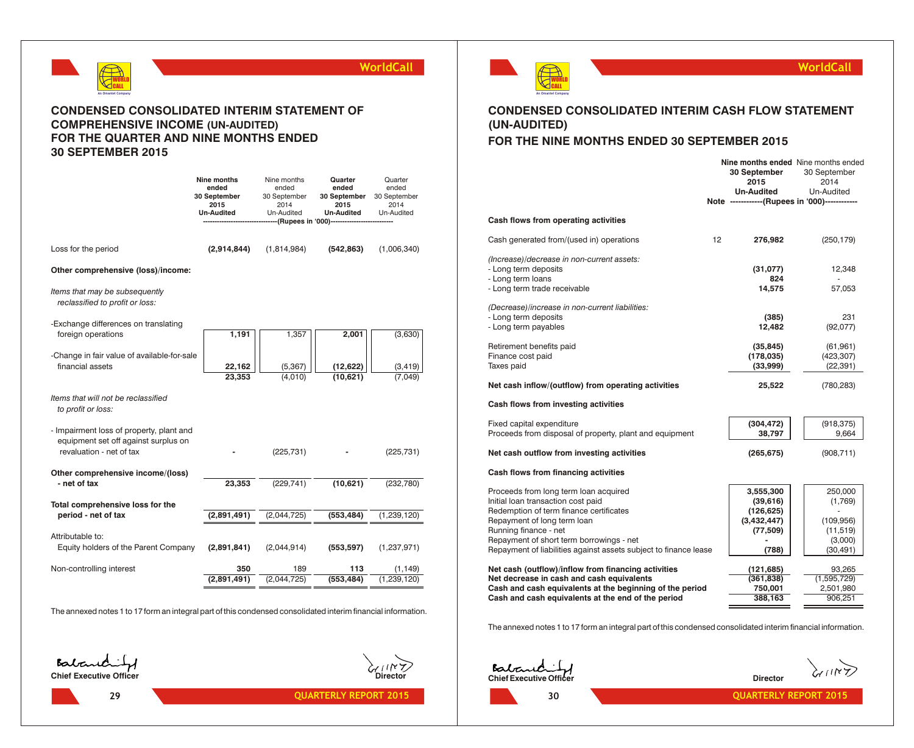

## **CONDENSED CONSOLIDATED INTERIM STATEMENT OF COMPREHENSIVE INCOME (UN-AUDITED) FOR THE QUARTER AND NINE MONTHS ENDED 30 SEPTEMBER 2015**

|                                                                   | Nine months<br>ended<br>30 September<br>2015<br><b>Un-Audited</b> | Nine months<br>ended<br>30 September<br>2014<br>Un-Audited | Quarter<br>ended<br>30 September<br>2015<br><b>Un-Audited</b><br>-(Rupees in '000)---------- | Quarter<br>ended<br>30 September<br>2014<br>Un-Audited |
|-------------------------------------------------------------------|-------------------------------------------------------------------|------------------------------------------------------------|----------------------------------------------------------------------------------------------|--------------------------------------------------------|
|                                                                   |                                                                   |                                                            |                                                                                              |                                                        |
| Loss for the period                                               | (2,914,844)                                                       | (1,814,984)                                                | (542, 863)                                                                                   | (1,006,340)                                            |
| Other comprehensive (loss)/income:                                |                                                                   |                                                            |                                                                                              |                                                        |
| Items that may be subsequently<br>reclassified to profit or loss: |                                                                   |                                                            |                                                                                              |                                                        |
| -Exchange differences on translating                              |                                                                   |                                                            |                                                                                              |                                                        |
| foreign operations                                                | 1,191                                                             | 1,357                                                      | 2,001                                                                                        | (3,630)                                                |
|                                                                   |                                                                   |                                                            |                                                                                              |                                                        |
| -Change in fair value of available-for-sale                       |                                                                   |                                                            |                                                                                              |                                                        |
| financial assets                                                  | 22,162                                                            | (5, 367)                                                   | (12, 622)<br>(10, 621)                                                                       | (3, 419)                                               |
|                                                                   | 23,353                                                            | (4,010)                                                    |                                                                                              | (7.049)                                                |
| Items that will not be reclassified<br>to profit or loss:         |                                                                   |                                                            |                                                                                              |                                                        |
| - Impairment loss of property, plant and                          |                                                                   |                                                            |                                                                                              |                                                        |
| equipment set off against surplus on                              |                                                                   |                                                            |                                                                                              |                                                        |
| revaluation - net of tax                                          |                                                                   | (225, 731)                                                 |                                                                                              | (225, 731)                                             |
|                                                                   |                                                                   |                                                            |                                                                                              |                                                        |
| Other comprehensive income/(loss)<br>- net of tax                 | 23,353                                                            | (229, 741)                                                 | (10, 621)                                                                                    | (232,780)                                              |
|                                                                   |                                                                   |                                                            |                                                                                              |                                                        |
| Total comprehensive loss for the                                  |                                                                   |                                                            |                                                                                              |                                                        |
| period - net of tax                                               | (2,891,491)                                                       | (2,044,725)                                                | (553, 484)                                                                                   | (1, 239, 120)                                          |
|                                                                   |                                                                   |                                                            |                                                                                              |                                                        |
| Attributable to:<br>Equity holders of the Parent Company          | (2,891,841)                                                       | (2,044,914)                                                | (553, 597)                                                                                   | (1, 237, 971)                                          |
|                                                                   |                                                                   |                                                            |                                                                                              |                                                        |
| Non-controlling interest                                          | 350                                                               | 189                                                        | 113                                                                                          | (1,149)                                                |
|                                                                   | (2,891,491)                                                       | (2,044,725)                                                | (553, 484)                                                                                   | (1, 239, 120)                                          |
|                                                                   |                                                                   |                                                            |                                                                                              |                                                        |

The annexed notes 1 to 17 form an integral part of this condensed consolidated interim financial information.





## **WorldCall**

# **CONDENSED CONSOLIDATED INTERIM CASH FLOW STATEMENT (UN-AUDITED)**

## **FOR THE NINE MONTHS ENDED 30 SEPTEMBER 2015**

|                                                                                                                                                                                                                                                                                                |                   | Nine months ended Nine months ended<br>30 September<br>2015              | 30 September<br>2014                                                 |
|------------------------------------------------------------------------------------------------------------------------------------------------------------------------------------------------------------------------------------------------------------------------------------------------|-------------------|--------------------------------------------------------------------------|----------------------------------------------------------------------|
|                                                                                                                                                                                                                                                                                                |                   | <b>Un-Audited</b><br>Note -------------(Rupees in '000)------------      | Un-Audited                                                           |
| Cash flows from operating activities                                                                                                                                                                                                                                                           |                   |                                                                          |                                                                      |
| Cash generated from/(used in) operations                                                                                                                                                                                                                                                       | $12 \overline{ }$ | 276,982                                                                  | (250, 179)                                                           |
| (Increase)/decrease in non-current assets:<br>- Long term deposits<br>- Long term loans<br>- Long term trade receivable                                                                                                                                                                        |                   | (31,077)<br>824<br>14,575                                                | 12,348<br>57,053                                                     |
| (Decrease)/increase in non-current liabilities:<br>- Long term deposits<br>- Long term payables                                                                                                                                                                                                |                   | (385)<br>12,482                                                          | 231<br>(92,077)                                                      |
| Retirement benefits paid<br>Finance cost paid<br>Taxes paid                                                                                                                                                                                                                                    |                   | (35, 845)<br>(178, 035)<br>(33,999)                                      | (61, 961)<br>(423, 307)<br>(22, 391)                                 |
| Net cash inflow/(outflow) from operating activities                                                                                                                                                                                                                                            |                   | 25,522                                                                   | (780, 283)                                                           |
| Cash flows from investing activities                                                                                                                                                                                                                                                           |                   |                                                                          |                                                                      |
| Fixed capital expenditure<br>Proceeds from disposal of property, plant and equipment                                                                                                                                                                                                           |                   | (304, 472)<br>38,797                                                     | (918, 375)<br>9,664                                                  |
| Net cash outflow from investing activities                                                                                                                                                                                                                                                     |                   | (265, 675)                                                               | (908, 711)                                                           |
| Cash flows from financing activities                                                                                                                                                                                                                                                           |                   |                                                                          |                                                                      |
| Proceeds from long term loan acquired<br>Initial loan transaction cost paid<br>Redemption of term finance certificates<br>Repayment of long term loan<br>Running finance - net<br>Repayment of short term borrowings - net<br>Repayment of liabilities against assets subject to finance lease |                   | 3,555,300<br>(39, 616)<br>(126,625)<br>(3,432,447)<br>(77, 509)<br>(788) | 250,000<br>(1,769)<br>(109, 956)<br>(11, 519)<br>(3,000)<br>(30,491) |
| Net cash (outflow)/inflow from financing activities<br>Net decrease in cash and cash equivalents<br>Cash and cash equivalents at the beginning of the period<br>Cash and cash equivalents at the end of the period                                                                             |                   | (121, 685)<br>(361, 838)<br>750,001<br>388,163                           | 93,265<br>(1,595,729)<br>2,501,980<br>906,251                        |

The annexed notes 1 to 17 form an integral part of this condensed consolidated interim financial information.

**Chief Executive Officer Director**

 $\widetilde{\langle x_{111},x_2\rangle}$ 

**30**

**29 QUARTERLY REPORT 2015 CONSUMING A REPORT 2015 30 CONSUMING A REPORT 2015**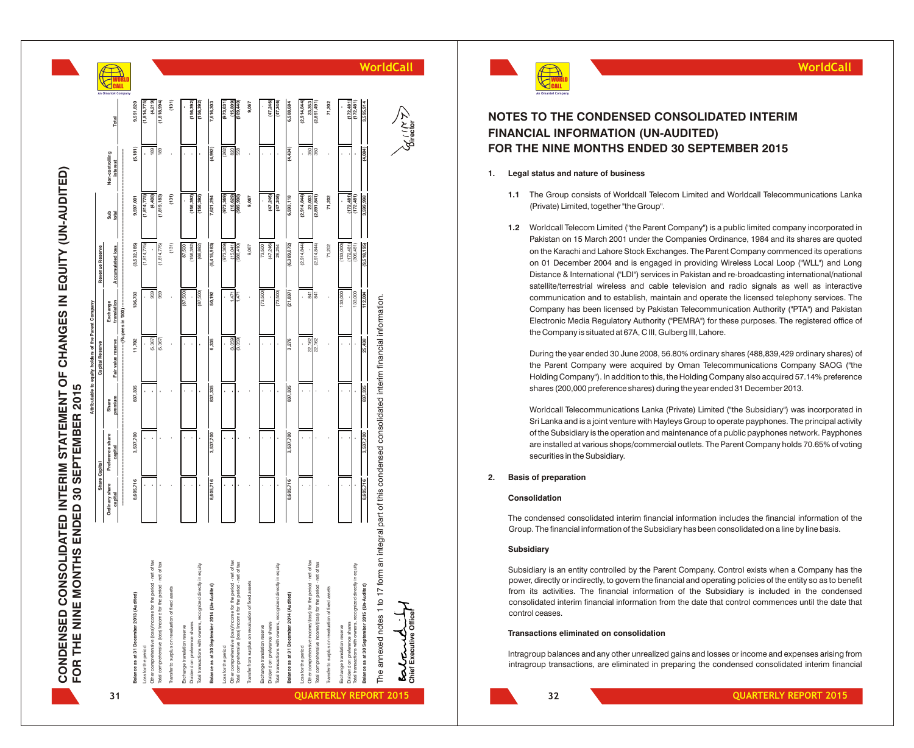|                                                                                                                                |                           | FOR THE NINE MONTHS ENDED 30 SEPTEMBER 2015 |                  | Attributable to equity holders of the Parent Company |                          |                         |                        |                                    |                              |                               |
|--------------------------------------------------------------------------------------------------------------------------------|---------------------------|---------------------------------------------|------------------|------------------------------------------------------|--------------------------|-------------------------|------------------------|------------------------------------|------------------------------|-------------------------------|
|                                                                                                                                | Share Capital             |                                             |                  | Capital Reserve                                      |                          | Revenue Reserve         |                        |                                    |                              | $\alpha$                      |
| 31                                                                                                                             | Ordinary share<br>capital | Preference share<br>capital                 | premium<br>Share | Fair value reserve                                   | translation<br>Exchange  | <b>Accumulated loss</b> | Sub<br>total           | Non-controlling<br><b>interest</b> | Total                        |                               |
|                                                                                                                                |                           |                                             |                  |                                                      | --- (Pupees in '000) --- |                         |                        |                                    |                              | <b>JORLD</b><br>Intel Company |
| Balance as at 31 December 2013 (Audited)                                                                                       | 8,605,716                 | 3,537,700                                   | 837,335          | 11,702                                               | 136,733                  | (3,532,185)             | 9,597,001              | (5, 181)                           | 9,591,820                    |                               |
| Loss for the period                                                                                                            |                           |                                             |                  |                                                      |                          | (1, 814, 775)           | (1,814,775)            |                                    | (1,814,775)                  |                               |
| Other comprehensive (loss)/income for the period - net of tax<br>Total comprehensive (loss)/income for the period - net of tax |                           |                                             |                  | (5, 367)<br>(5, 367)                                 | 959<br>959               | (1, 814, 775)           | (4,408)<br>(1,819,183) | 189<br>189                         | (4,219)<br>(1, 818, 994)     |                               |
| Transfer to surplus on revaluation of fixed assets                                                                             |                           |                                             |                  |                                                      |                          | (131)                   | (131)                  |                                    | (131)                        |                               |
|                                                                                                                                |                           |                                             |                  |                                                      |                          |                         |                        |                                    |                              |                               |
| Dividend on preference shares<br>Exchange translation reserve                                                                  |                           |                                             |                  |                                                      | (005'28)                 | 156,392)<br>87,500      | (156, 392)             |                                    | (156, 392)                   |                               |
| Total transactions with owners, recognized directly in equity                                                                  |                           |                                             |                  |                                                      | (87, 500)                | (68, 892)               | (156, 392)             |                                    | (156, 392)                   |                               |
| Balance as at 30 September 2014 (Un-Audited)                                                                                   | 8,605,716                 | 3,537,700                                   | 837,335          | 6,335                                                | 50,192                   | (5,415,983)             | 7,621,294              | (4,992)                            | 7,616,303                    |                               |
| Loss for the period                                                                                                            |                           |                                             |                  |                                                      |                          | (973, 369)              | (973, 369)             | (262)                              | (973, 631)                   |                               |
| Other comprehensive (loss)/income for the period - net of tax                                                                  |                           |                                             |                  | (3,059)                                              | 1,471                    | (15,041)                | (16, 629)              | 820                                | (15, 809)                    |                               |
| Total comprehensive (loss)/income for the period - net of tax                                                                  |                           |                                             |                  | (3,059)                                              | 1,471                    | (988, 410)              | (989, 998)             | 558                                | (989, 440)                   |                               |
| Transfer from surplus on revaluation of fixed assets                                                                           |                           |                                             |                  |                                                      |                          | 9,067                   | 9,067                  |                                    | 9,067                        |                               |
| Exchange translation reserve                                                                                                   |                           |                                             |                  |                                                      | (73,500)                 | 73,500                  |                        |                                    |                              |                               |
| Dividend on preference shares                                                                                                  |                           |                                             |                  |                                                      |                          | (47, 246)               | (47, 246)              |                                    | (47, 246)                    |                               |
| Total transactions with owners, recognized directly in equity                                                                  |                           |                                             |                  |                                                      | (73,500)                 | 26,254                  | (47, 246)              |                                    | (47, 246)                    |                               |
| Balance as at 31 December 2014 (Audited)                                                                                       | 8,605,716                 | 3,537,700                                   | 837,335          | 3,276                                                | (21, 837)                | (6, 369, 072)           | 6,593,118              | (4, 434)                           | 6,588,684                    |                               |
| Loss for the period                                                                                                            |                           |                                             |                  |                                                      |                          | (2,914,844)             | (2,914,844)            |                                    | (2,914,844)                  |                               |
| Other comprehensive income/(loss) for the period - net of tax                                                                  |                           |                                             |                  | 22,162                                               | 841                      |                         | 23,003                 | 350                                | 23,353                       |                               |
| Total comprehensive income(loss) for the period - net of tax                                                                   |                           |                                             |                  | 22,162                                               | <b>B41</b>               | (2,914,844)             | (2,891,841)            | 350                                | (2,891,491)                  |                               |
| Transfer to surplus on revaluation of fixed assets                                                                             |                           |                                             |                  |                                                      |                          | 71,202                  | 71,202                 |                                    | 71,202                       |                               |
| Exchange translation reserve                                                                                                   |                           |                                             |                  |                                                      | 133,000                  | (133,000)               |                        |                                    |                              |                               |
| Dividend on preference shares                                                                                                  |                           |                                             |                  |                                                      |                          | (172, 481)              | (172, 481)             |                                    | $(172, 481)$<br>$(172, 481)$ |                               |
| Total transactions with owners, recognized directly in equity                                                                  |                           |                                             |                  |                                                      | 133,000                  | (305,481)               | (172, 481)             |                                    |                              |                               |
| Balance as at 30 September 2015 (Un-Audited)                                                                                   | 8,605,716                 | 3,537,700                                   | 837,335          | 25,438                                               | 112,004                  | (9,518,195)             | 3,599,998              | (4,084)                            | 3,595,914                    | W                             |

The annexed notes 1 to 17 form an integral part of this condensed consolidated interim financial information.

The annexed notes 1 to 17 form

an integral part of this condensed consolidated interim financial information.

**Chief Executive Officer Director**

## **NOTES TO THE CONDENSED CONSOLIDATED INTERIM FINANCIAL INFORMATION (UN-AUDITED) FOR THE NINE MONTHS ENDED 30 SEPTEMBER 2015**

## **1. Legal status and nature of business**

- **1.1** The Group consists of Worldcall Telecom Limited and Worldcall Telecommunications Lanka (Private) Limited, together "the Group".
- 1.2 Worldcall Telecom Limited ("the Parent Company") is a public limited company incorporated in Pakistan on 15 March 2001 under the Companies Ordinance, 1984 and its shares are quoted on the Karachi and Lahore Stock Exchanges. The Parent Company commenced its operations on 01 December 2004 and is engaged in providing Wireless Local Loop ("WLL") and Long Distance & International ("LDI") services in Pakistan and re-broadcasting international/national satellite/terrestrial wireless and cable television and radio signals as well as interactive communication and to establish, maintain and operate the licensed telephony services. The Company has been licensed by Pakistan Telecommunication Authority ("PTA") and Pakistan Electronic Media Regulatory Authority ("PEMRA") for these purposes. The registered office of the Company is situated at 67A, C III, Gulberg III, Lahore. **intragram in the Companyis are eliminated interim transactions** and the company comparing the consolidated interimental interimental worldCall WorldCall Telecommunications Lanks<br>
(Financial United United Call Packar and W

During the year ended 30 June 2008, 56.80% ordinary shares (488,839,429 ordinary shares) of the Parent Company were acquired by Oman Telecommunications Company SAOG ("the Holding Company"). In addition to this, the Holding Company also acquired 57.14% preference shares (200,000 preference shares) during the year ended 31 December 2013.

Worldcall Telecommunications Lanka (Private) Limited ("the Subsidiary") was incorporated in Sri Lanka and is a joint venture with Hayleys Group to operate payphones. The principal activity of the Subsidiary is the operation and maintenance of a public payphones network. Payphones are installed at various shops/commercial outlets. The Parent Company holds 70.65% of voting securities in the Subsidiary .

## **2. Basis of preparation**

## **Consolidation**

The condensed consolidated interim financial information includes the financial information of the Group. The financial information of the Subsidiary has been consolidated on a line by line basis.

### **Subsidiary**

Subsidiary is an entity controlled by the Parent Company. Control exists when a Company has the power, directly or indirectly, to govern the financial and operating policies of the entity so as to benefit from its activities. The financial information of the Subsidiary is included in the condensed consolidated interim financial information from the date that control commences until the date that control ceases.

#### **Transactions eliminated on consolidation**

Intragroup balances and any other unrealized gains and losses or income and expenses arising from

**32**

**PORT 2015 CONSUMING THE CONSUMING STATE 2015 QUARTERLY REPORT 2015**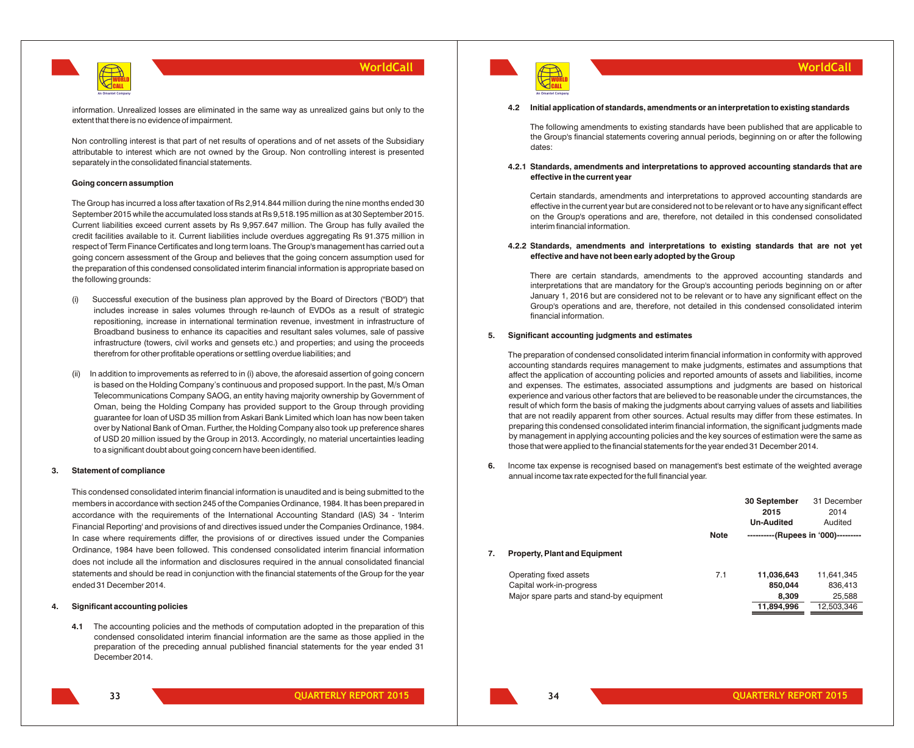

information. Unrealized losses are eliminated in the same way as unrealized gains but only to the extent that there is no evidence of impairment.

Non controlling interest is that part of net results of operations and of net assets of the Subsidiary attributable to interest which are not owned by the Group. Non controlling interest is presented separately in the consolidated financial statements.

#### **Going concern assumption**

The Group has incurred a loss after taxation of Rs 2,914.844 million during the nine months ended 30 September 2015 while the accumulated loss stands at Rs 9,518.195 million as at 30 September 2015. Current liabilities exceed current assets by Rs 9,957.647 million. The Group has fully availed the credit facilities available to it. Current liabilities include overdues aggregating Rs 91.375 million in respect of Term Finance Certificates and long term loans. The Group's management has carried out a going concern assessment of the Group and believes that the going concern assumption used for the preparation of this condensed consolidated interim financial information is appropriate based on the following grounds:

- (i) Successful execution of the business plan approved by the Board of Directors ("BOD") that includes increase in sales volumes through re-launch of EVDOs as a result of strategic repositioning, increase in international termination revenue, investment in infrastructure of Broadband business to enhance its capacities and resultant sales volumes, sale of passive infrastructure (towers, civil works and gensets etc.) and properties; and using the proceeds therefrom for other profitable operations or settling overdue liabilities; and
- (ii) In addition to improvements as referred to in (i) above, the aforesaid assertion of going concern is based on the Holding Company's continuous and proposed support. In the past, M/s Oman Telecommunications Company SAOG, an entity having majority ownership by Government of Oman, being the Holding Company has provided support to the Group through providing guarantee for loan of USD 35 million from Askari Bank Limited which loan has now been taken over by National Bank of Oman. Further, the Holding Company also took up preference shares of USD 20 million issued by the Group in 2013. Accordingly, no material uncertainties leading to a significant doubt about going concern have been identified.

#### **3. Statement of compliance**

This condensed consolidated interim financial information is unaudited and is being submitted to the members in accordance with section 245 of the Companies Ordinance, 1984. It has been prepared in accordance with the requirements of the International Accounting Standard (IAS) 34 - 'Interim Financial Reporting' and provisions of and directives issued under the Companies Ordinance, 1984. In case where requirements differ, the provisions of or directives issued under the Companies Ordinance, 1984 have been followed. This condensed consolidated interim financial information does not include all the information and disclosures required in the annual consolidated financial statements and should be read in conjunction with the financial statements of the Group for the year ended 31 December 2014.

#### **4. Significant accounting policies**

**4.1** The accounting policies and the methods of computation adopted in the preparation of this condensed consolidated interim financial information are the same as those applied in the preparation of the preceding annual published financial statements for the year ended 31 December 2014.



**WorldCall**

#### **4.2 Initial application of standards, amendments or an interpretation to existing standards**

The following amendments to existing standards have been published that are applicable to the Group's financial statements covering annual periods, beginning on or after the following dates:

## **4.2.1 Standards, amendments and interpretations to approved accounting standards that are effective in the current year**

Certain standards, amendments and interpretations to approved accounting standards are effective in the current year but are considered not to be relevant or to have any significant effect on the Group's operations and are, therefore, not detailed in this condensed consolidated interim financial information.

#### **4.2.2 Standards, amendments and interpretations to existing standards that are not yet effective and have not been early adopted by the Group**

There are certain standards, amendments to the approved accounting standards and interpretations that are mandatory for the Group's accounting periods beginning on or after January 1, 2016 but are considered not to be relevant or to have any significant effect on the Group's operations and are, therefore, not detailed in this condensed consolidated interim financial information.

#### **5. Significant accounting judgments and estimates**

The preparation of condensed consolidated interim financial information in conformity with approved accounting standards requires management to make judgments, estimates and assumptions that affect the application of accounting policies and reported amounts of assets and liabilities, income and expenses. The estimates, associated assumptions and judgments are based on historical experience and various other factors that are believed to be reasonable under the circumstances, the result of which form the basis of making the judgments about carrying values of assets and liabilities that are not readily apparent from other sources. Actual results may differ from these estimates. In preparing this condensed consolidated interim financial information, the significant judgments made by management in applying accounting policies and the key sources of estimation were the same as those that were applied to the financial statements for the year ended 31 December 2014.

**6.** Income tax expense is recognised based on management's best estimate of the weighted average annual income tax rate expected for the full financial year.

|    |                                          |             | 30 September<br>2015<br><b>Un-Audited</b> | 31 December<br>2014<br>Audited |
|----|------------------------------------------|-------------|-------------------------------------------|--------------------------------|
|    |                                          | <b>Note</b> | ----------(Rupees in '000)---------       |                                |
| 7. | <b>Property, Plant and Equipment</b>     |             |                                           |                                |
|    | Operating fixed assets                   | 7.1         | 11,036,643                                | 11,641,345                     |
|    | Capital work-in-progress                 |             | 850.044                                   | 836,413                        |
|    | Major spare parts and stand-by equipment |             | 8.309                                     | 25,588                         |
|    |                                          |             | 11,894,996                                | 12,503,346                     |

**33**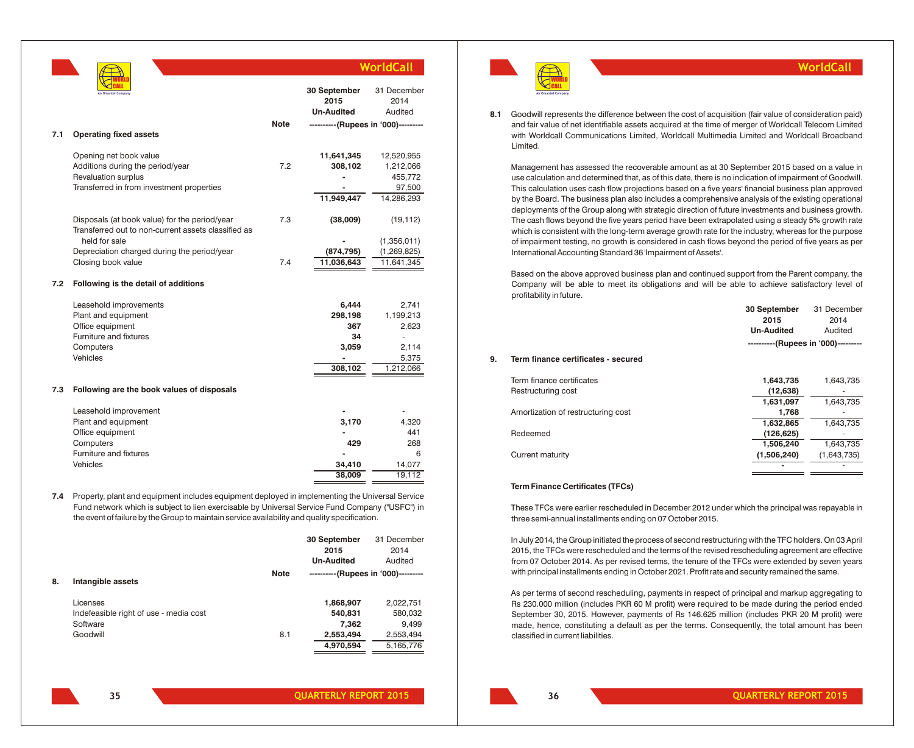|     |                                                     |             |                                     | <b>WorldCall</b> |
|-----|-----------------------------------------------------|-------------|-------------------------------------|------------------|
|     |                                                     |             | 30 September                        | 31 December      |
|     |                                                     |             | 2015                                | 2014             |
|     |                                                     |             | <b>Un-Audited</b>                   | Audited          |
|     |                                                     | <b>Note</b> | ----------(Rupees in '000)--------- |                  |
| 7.1 | <b>Operating fixed assets</b>                       |             |                                     |                  |
|     |                                                     |             |                                     |                  |
|     | Opening net book value                              |             | 11,641,345                          | 12,520,955       |
|     | Additions during the period/year                    | 7.2         | 308,102                             | 1,212,066        |
|     | Revaluation surplus                                 |             |                                     | 455,772          |
|     | Transferred in from investment properties           |             |                                     | 97,500           |
|     |                                                     |             | 11,949,447                          | 14,286,293       |
|     |                                                     |             |                                     |                  |
|     | Disposals (at book value) for the period/year       | 7.3         | (38,009)                            | (19, 112)        |
|     | Transferred out to non-current assets classified as |             |                                     |                  |
|     | held for sale                                       |             |                                     | (1,356,011)      |
|     | Depreciation charged during the period/year         |             | (874, 795)                          | (1, 269, 825)    |
|     | Closing book value                                  | 7.4         | 11,036,643                          | 11,641,345       |
|     |                                                     |             |                                     |                  |
| 7.2 | Following is the detail of additions                |             |                                     |                  |
|     | Leasehold improvements                              |             | 6,444                               | 2,741            |
|     | Plant and equipment                                 |             | 298,198                             | 1,199,213        |
|     | Office equipment                                    |             | 367                                 | 2,623            |
|     | Furniture and fixtures                              |             | 34                                  | ä,               |
|     | Computers                                           |             | 3,059                               | 2,114            |
|     | Vehicles                                            |             |                                     | 5,375            |
|     |                                                     |             | 308,102                             | 1,212,066        |
|     |                                                     |             |                                     |                  |
| 7.3 | Following are the book values of disposals          |             |                                     |                  |
|     | Leasehold improvement                               |             |                                     |                  |
|     | Plant and equipment                                 |             | 3,170                               | 4,320            |
|     | Office equipment                                    |             |                                     | 441              |
|     | Computers                                           |             | 429                                 | 268              |
|     | Furniture and fixtures                              |             |                                     | 6                |
|     | Vehicles                                            |             | 34,410                              | 14,077           |
|     |                                                     |             | 38,009                              | 19,112           |
|     |                                                     |             |                                     |                  |
|     |                                                     |             |                                     |                  |

**7.4** Property, plant and equipment includes equipment deployed in implementing the Universal Service Fund network which is subject to lien exercisable by Universal Service Fund Company ("USFC") in the event of failure by the Group to maintain service availability and quality specification.

|    |                                        |             | 30 September                        | 31 December |
|----|----------------------------------------|-------------|-------------------------------------|-------------|
|    |                                        |             | 2015                                | 2014        |
|    |                                        |             | <b>Un-Audited</b>                   | Audited     |
|    |                                        | <b>Note</b> | ----------(Rupees in '000)--------- |             |
| 8. | Intangible assets                      |             |                                     |             |
|    | Licenses                               |             | 1,868,907                           | 2,022,751   |
|    | Indefeasible right of use - media cost |             | 540,831                             | 580,032     |
|    | Software                               |             | 7.362                               | 9,499       |
|    | Goodwill                               | 8.1         | 2,553,494                           | 2,553,494   |
|    |                                        |             | 4.970.594                           | 5,165,776   |

WORLD CALL

**An Omantel Company**

**8.1** Goodwill represents the difference between the cost of acquisition (fair value of consideration paid) and fair value of net identifiable assets acquired at the time of merger of Worldcall Telecom Limited with Worldcall Communications Limited, Worldcall Multimedia Limited and Worldcall Broadband Limited.

**WorldCall**

Management has assessed the recoverable amount as at 30 September 2015 based on a value in use calculation and determined that, as of this date, there is no indication of impairment of Goodwill. This calculation uses cash flow projections based on a five years' financial business plan approved by the Board. The business plan also includes a comprehensive analysis of the existing operational deployments of the Group along with strategic direction of future investments and business growth. The cash flows beyond the five years period have been extrapolated using a steady 5% growth rate which is consistent with the long-term average growth rate for the industry, whereas for the purpose of impairment testing, no growth is considered in cash flows beyond the period of five years as per International Accounting Standard 36 'Impairment of Assets'.

Based on the above approved business plan and continued support from the Parent company, the Company will be able to meet its obligations and will be able to achieve satisfactory level of profitability in future.

|    |                                     | 30 September                        | 31 December |
|----|-------------------------------------|-------------------------------------|-------------|
|    |                                     | 2015                                | 2014        |
|    |                                     | <b>Un-Audited</b>                   | Audited     |
|    |                                     | ----------(Rupees in '000)--------- |             |
| 9. | Term finance certificates - secured |                                     |             |
|    | Term finance certificates           | 1,643,735                           | 1,643,735   |
|    | Restructuring cost                  | (12, 638)                           |             |
|    |                                     | 1,631,097                           | 1,643,735   |
|    | Amortization of restructuring cost  | 1,768                               |             |
|    |                                     | 1,632,865                           | 1,643,735   |
|    | Redeemed                            | (126, 625)                          |             |
|    |                                     | 1,506,240                           | 1,643,735   |
|    | Current maturity                    | (1,506,240)                         | (1,643,735) |
|    |                                     |                                     |             |

## **Term Finance Certificates (TFCs)**

These TFCs were earlier rescheduled in December 2012 under which the principal was repayable in three semi-annual installments ending on 07 October 2015.

In July 2014, the Group initiated the process of second restructuring with the TFC holders. On 03 April 2015, the TFCs were rescheduled and the terms of the revised rescheduling agreement are effective from 07 October 2014. As per revised terms, the tenure of the TFCs were extended by seven years with principal installments ending in October 2021. Profit rate and security remained the same.

As per terms of second rescheduling, payments in respect of principal and markup aggregating to Rs 230.000 million (includes PKR 60 M profit) were required to be made during the period ended September 30, 2015. However, payments of Rs 146.625 million (includes PKR 20 M profit) were made, hence, constituting a default as per the terms. Consequently, the total amount has been classified in current liabilities.

**35**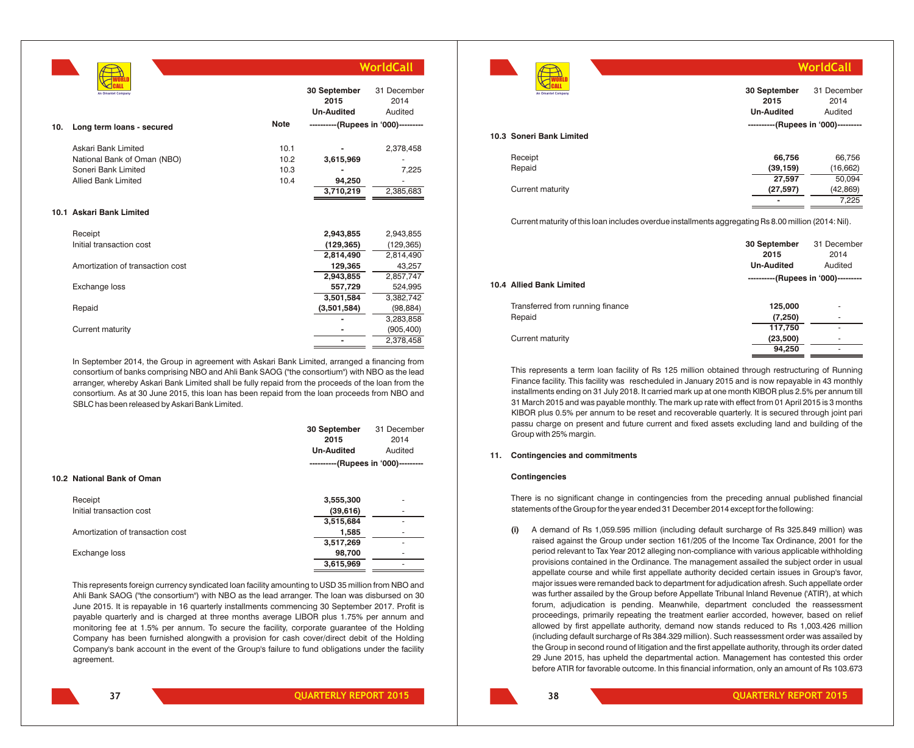

|     | An Omantel Company               |             | 30 September<br>2015<br><b>Un-Audited</b> | 31 December<br>2014<br>Audited |
|-----|----------------------------------|-------------|-------------------------------------------|--------------------------------|
| 10. | Long term loans - secured        | <b>Note</b> | ----------(Rupees in '000)---------       |                                |
|     | Askari Bank Limited              | 10.1        |                                           | 2,378,458                      |
|     | National Bank of Oman (NBO)      | 10.2        | 3,615,969                                 |                                |
|     | Soneri Bank Limited              | 10.3        |                                           | 7,225                          |
|     | <b>Allied Bank Limited</b>       | 10.4        | 94,250                                    |                                |
|     |                                  |             | 3,710,219                                 | 2,385,683                      |
|     | 10.1 Askari Bank Limited         |             |                                           |                                |
|     | Receipt                          |             | 2,943,855                                 | 2,943,855                      |
|     | Initial transaction cost         |             | (129, 365)                                | (129, 365)                     |
|     |                                  |             | 2,814,490                                 | 2,814,490                      |
|     | Amortization of transaction cost |             | 129,365                                   | 43,257                         |
|     |                                  |             | 2,943,855                                 | 2,857,747                      |
|     | Exchange loss                    |             | 557,729                                   | 524,995                        |
|     |                                  |             | 3,501,584                                 | 3,382,742                      |
|     | Repaid                           |             | (3,501,584)                               | (98, 884)                      |
|     |                                  |             |                                           | 3,283,858                      |
|     | Current maturity                 |             |                                           | (905, 400)                     |
|     |                                  |             |                                           | 2,378,458                      |

In September 2014, the Group in agreement with Askari Bank Limited, arranged a financing from consortium of banks comprising NBO and Ahli Bank SAOG ("the consortium") with NBO as the lead arranger, whereby Askari Bank Limited shall be fully repaid from the proceeds of the loan from the consortium. As at 30 June 2015, this loan has been repaid from the loan proceeds from NBO and SBLC has been released by Askari Bank Limited.

|                                  | 30 September<br>2015<br><b>Un-Audited</b> | 31 December<br>2014<br>Audited |
|----------------------------------|-------------------------------------------|--------------------------------|
| 10.2 National Bank of Oman       | ----------(Rupees in '000)---------       |                                |
| Receipt                          | 3,555,300                                 | ٠                              |
| Initial transaction cost         | (39,616)                                  |                                |
|                                  | 3,515,684                                 |                                |
| Amortization of transaction cost | 1,585                                     | ۰                              |
|                                  | 3,517,269                                 |                                |
| Exchange loss                    | 98,700                                    |                                |
|                                  | 3,615,969                                 |                                |
|                                  |                                           |                                |

This represents foreign currency syndicated loan facility amounting to USD 35 million from NBO and Ahli Bank SAOG ("the consortium") with NBO as the lead arranger. The loan was disbursed on 30 June 2015. It is repayable in 16 quarterly installments commencing 30 September 2017. Profit is payable quarterly and is charged at three months average LIBOR plus 1.75% per annum and monitoring fee at 1.5% per annum. To secure the facility, corporate guarantee of the Holding Company has been furnished alongwith a provision for cash cover/direct debit of the Holding Company's bank account in the event of the Group's failure to fund obligations under the facility agreement.



| An Omantel Company       | 30 September<br>2015<br><b>Un-Audited</b> | 31 December<br>2014<br>Audited |
|--------------------------|-------------------------------------------|--------------------------------|
|                          | ----------(Rupees in '000)---------       |                                |
| 10.3 Soneri Bank Limited |                                           |                                |
|                          |                                           |                                |
| Receipt                  | 66,756                                    | 66,756                         |
| Repaid                   | (39, 159)                                 | (16, 662)                      |
|                          | 27,597                                    | 50,094                         |
| Current maturity         | (27, 597)                                 | (42, 869)                      |
|                          | $\blacksquare$                            | 7.225                          |

**WorldCall**

Current maturity of this loan includes overdue installments aggregating Rs 8.00 million (2014: Nil).

|                                  | 30 September<br>2015<br><b>Un-Audited</b> | 31 December<br>2014<br>Audited |
|----------------------------------|-------------------------------------------|--------------------------------|
| 10.4 Allied Bank Limited         | ----------(Rupees in '000)---------       |                                |
| Transferred from running finance | 125,000                                   | ۰                              |
| Repaid                           | (7,250)                                   | ۰                              |
|                                  | 117,750                                   | ٠                              |
| Current maturity                 | (23,500)                                  | ۰                              |
|                                  | 94,250                                    | ۰                              |

This represents a term loan facility of Rs 125 million obtained through restructuring of Running Finance facility. This facility was rescheduled in January 2015 and is now repayable in 43 monthly installments ending on 31 July 2018. It carried mark up at one month KIBOR plus 2.5% per annum till 31 March 2015 and was payable monthly. The mark up rate with effect from 01 April 2015 is 3 months KIBOR plus 0.5% per annum to be reset and recoverable quarterly. It is secured through joint pari passu charge on present and future current and fixed assets excluding land and building of the Group with 25% margin.

#### **11. Contingencies and commitments**

#### **Contingencies**

There is no significant change in contingencies from the preceding annual published financial statements of the Group for the year ended 31 December 2014 except for the following:

**(i)** A demand of Rs 1,059.595 million (including default surcharge of Rs 325.849 million) was raised against the Group under section 161/205 of the Income Tax Ordinance, 2001 for the period relevant to Tax Year 2012 alleging non-compliance with various applicable withholding provisions contained in the Ordinance. The management assailed the subject order in usual appellate course and while first appellate authority decided certain issues in Group's favor, major issues were remanded back to department for adjudication afresh. Such appellate order was further assailed by the Group before Appellate Tribunal Inland Revenue ('ATIR'), at which forum, adjudication is pending. Meanwhile, department concluded the reassessment proceedings, primarily repeating the treatment earlier accorded, however, based on relief allowed by first appellate authority, demand now stands reduced to Rs 1,003.426 million (including default surcharge of Rs 384.329 million). Such reassessment order was assailed by the Group in second round of litigation and the first appellate authority, through its order dated 29 June 2015, has upheld the departmental action. Management has contested this order before ATIR for favorable outcome. In this financial information, only an amount of Rs 103.673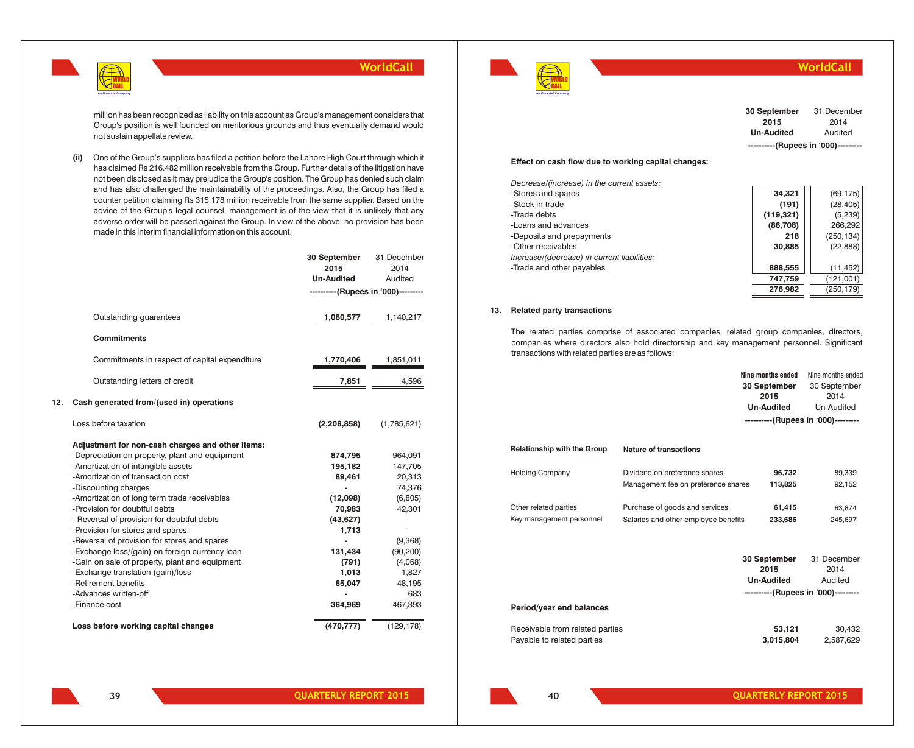

million has been recognized as liability on this account as Group's management considers that Group's position is well founded on meritorious grounds and thus eventually demand would not sustain appellate review.

**(ii)** One of the Group's suppliers has filed a petition before the Lahore High Court through which it has claimed Rs 216.482 million receivable from the Group. Further details of the litigation have not been disclosed as it may prejudice the Group's position. The Group has denied such claim and has also challenged the maintainability of the proceedings. Also, the Group has filed a counter petition claiming Rs 315.178 million receivable from the same supplier. Based on the advice of the Group's legal counsel, management is of the view that it is unlikely that any adverse order will be passed against the Group. In view of the above, no provision has been made in this interim financial information on this account.

|               |                                                                                                                                                                                                                                                                                                                                                                                                                                                                                                                                                                                                                    | 30 September<br>2015<br><b>Un-Audited</b><br>----------(Rupees in '000)---------                                                                       | 31 December<br>2014<br>Audited                                                                                                                                                    |
|---------------|--------------------------------------------------------------------------------------------------------------------------------------------------------------------------------------------------------------------------------------------------------------------------------------------------------------------------------------------------------------------------------------------------------------------------------------------------------------------------------------------------------------------------------------------------------------------------------------------------------------------|--------------------------------------------------------------------------------------------------------------------------------------------------------|-----------------------------------------------------------------------------------------------------------------------------------------------------------------------------------|
|               | Outstanding quarantees                                                                                                                                                                                                                                                                                                                                                                                                                                                                                                                                                                                             | 1,080,577                                                                                                                                              | 1,140,217                                                                                                                                                                         |
|               | <b>Commitments</b>                                                                                                                                                                                                                                                                                                                                                                                                                                                                                                                                                                                                 |                                                                                                                                                        |                                                                                                                                                                                   |
|               | Commitments in respect of capital expenditure                                                                                                                                                                                                                                                                                                                                                                                                                                                                                                                                                                      | 1,770,406                                                                                                                                              | 1,851,011                                                                                                                                                                         |
|               | Outstanding letters of credit                                                                                                                                                                                                                                                                                                                                                                                                                                                                                                                                                                                      | 7,851                                                                                                                                                  | 4,596                                                                                                                                                                             |
| 12.           | Cash generated from/(used in) operations                                                                                                                                                                                                                                                                                                                                                                                                                                                                                                                                                                           |                                                                                                                                                        |                                                                                                                                                                                   |
|               | Loss before taxation                                                                                                                                                                                                                                                                                                                                                                                                                                                                                                                                                                                               | (2,208,858)                                                                                                                                            | (1,785,621)                                                                                                                                                                       |
| -Finance cost | Adjustment for non-cash charges and other items:<br>-Depreciation on property, plant and equipment<br>-Amortization of intangible assets<br>-Amortization of transaction cost<br>-Discounting charges<br>-Amortization of long term trade receivables<br>-Provision for doubtful debts<br>- Reversal of provision for doubtful debts<br>-Provision for stores and spares<br>-Reversal of provision for stores and spares<br>-Exchange loss/(gain) on foreign currency loan<br>-Gain on sale of property, plant and equipment<br>-Exchange translation (gain)/loss<br>-Retirement benefits<br>-Advances written-off | 874,795<br>195,182<br>89,461<br>(12,098)<br>70,983<br>(43, 627)<br>1,713<br>$\overline{\phantom{0}}$<br>131,434<br>(791)<br>1,013<br>65,047<br>364,969 | 964,091<br>147,705<br>20,313<br>74,376<br>(6,805)<br>42,301<br>$\blacksquare$<br>$\overline{\phantom{a}}$<br>(9,368)<br>(90, 200)<br>(4,068)<br>1,827<br>48,195<br>683<br>467,393 |
|               | Loss before working capital changes                                                                                                                                                                                                                                                                                                                                                                                                                                                                                                                                                                                | (470, 777)                                                                                                                                             | (129, 178)                                                                                                                                                                        |

## WORLD CALL **An Omantel Company**

**WorldCall**

| 30 September                        | 31 December |  |  |  |
|-------------------------------------|-------------|--|--|--|
| 2015                                | 2014        |  |  |  |
| <b>Un-Audited</b>                   | Audited     |  |  |  |
| ----------(Rupees in '000)--------- |             |  |  |  |

#### **Effect on cash flow due to working capital changes:**

| Decrease/(increase) in the current assets:  |            |            |
|---------------------------------------------|------------|------------|
| -Stores and spares                          | 34.321     | (69, 175)  |
| -Stock-in-trade                             | (191)      | (28, 405)  |
| -Trade debts                                | (119, 321) | (5, 239)   |
| -Loans and advances                         | (86, 708)  | 266,292    |
| -Deposits and prepayments                   | 218        | (250, 134) |
| -Other receivables                          | 30,885     | (22, 888)  |
| Increase/(decrease) in current liabilities: |            |            |
| -Trade and other payables                   | 888,555    | (11, 452)  |
|                                             | 747.759    | (121,001)  |
|                                             | 276.982    | (250.179)  |

#### **13. Related party transactions**

The related parties comprise of associated companies, related group companies, directors, companies where directors also hold directorship and key management personnel. Significant transactions with related parties are as follows:

|                                                               |                                                                        | Nine months ended<br>30 September<br>2015<br><b>Un-Audited</b><br>----------(Rupees in '000)--------- | Nine months ended<br>30 September<br>2014<br>Un-Audited |
|---------------------------------------------------------------|------------------------------------------------------------------------|-------------------------------------------------------------------------------------------------------|---------------------------------------------------------|
| <b>Relationship with the Group</b>                            | Nature of transactions                                                 |                                                                                                       |                                                         |
| <b>Holding Company</b>                                        | Dividend on preference shares<br>Management fee on preference shares   | 96,732<br>113,825                                                                                     | 89,339<br>92,152                                        |
| Other related parties<br>Key management personnel             | Purchase of goods and services<br>Salaries and other employee benefits | 61,415<br>233,686                                                                                     | 63,874<br>245,697                                       |
|                                                               |                                                                        | 30 September<br>2015<br><b>Un-Audited</b><br>----------(Rupees in '000)---------                      | 31 December<br>2014<br>Audited                          |
| Period/year end balances                                      |                                                                        |                                                                                                       |                                                         |
| Receivable from related parties<br>Payable to related parties |                                                                        | 53.121<br>3,015,804                                                                                   | 30,432<br>2,587,629                                     |

**39**